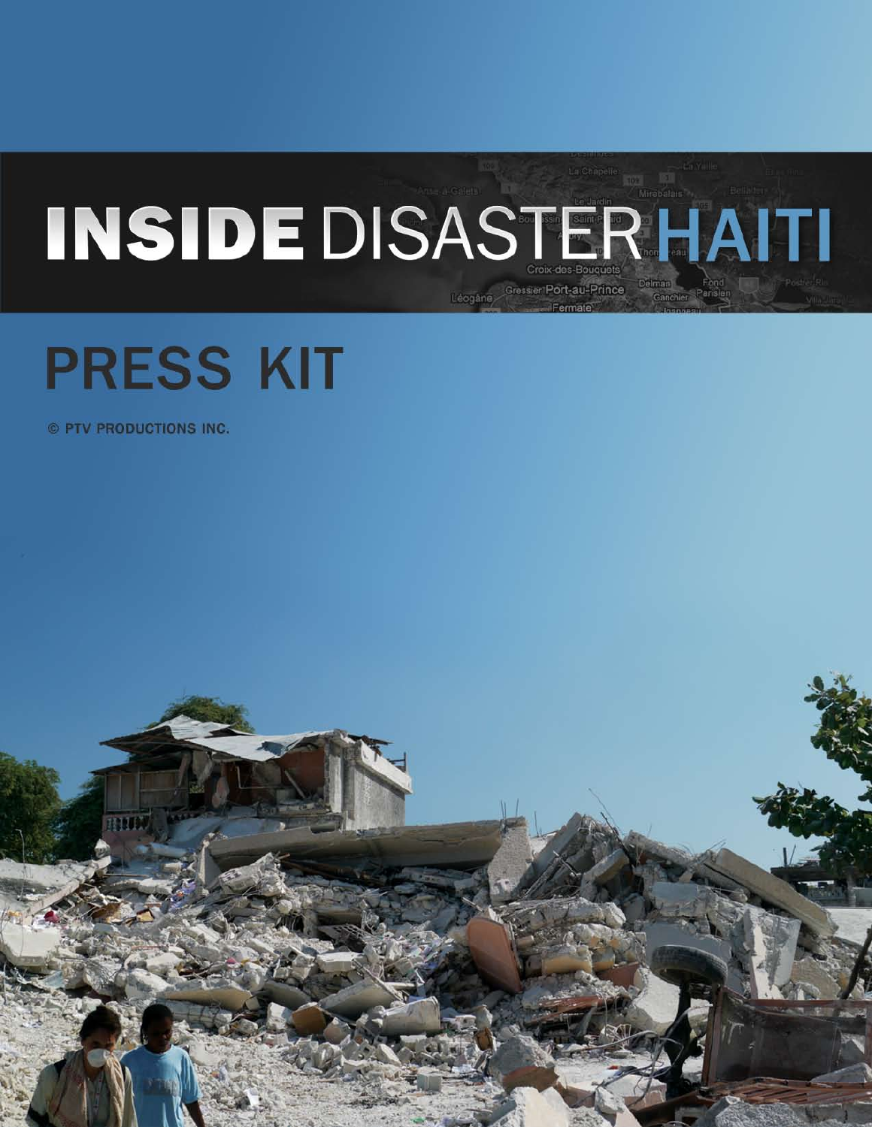# INSIDEDISASTERHAITI Leogane Gressier Port-au-Prince

# **PRESS KIT**

© PTV PRODUCTIONS INC.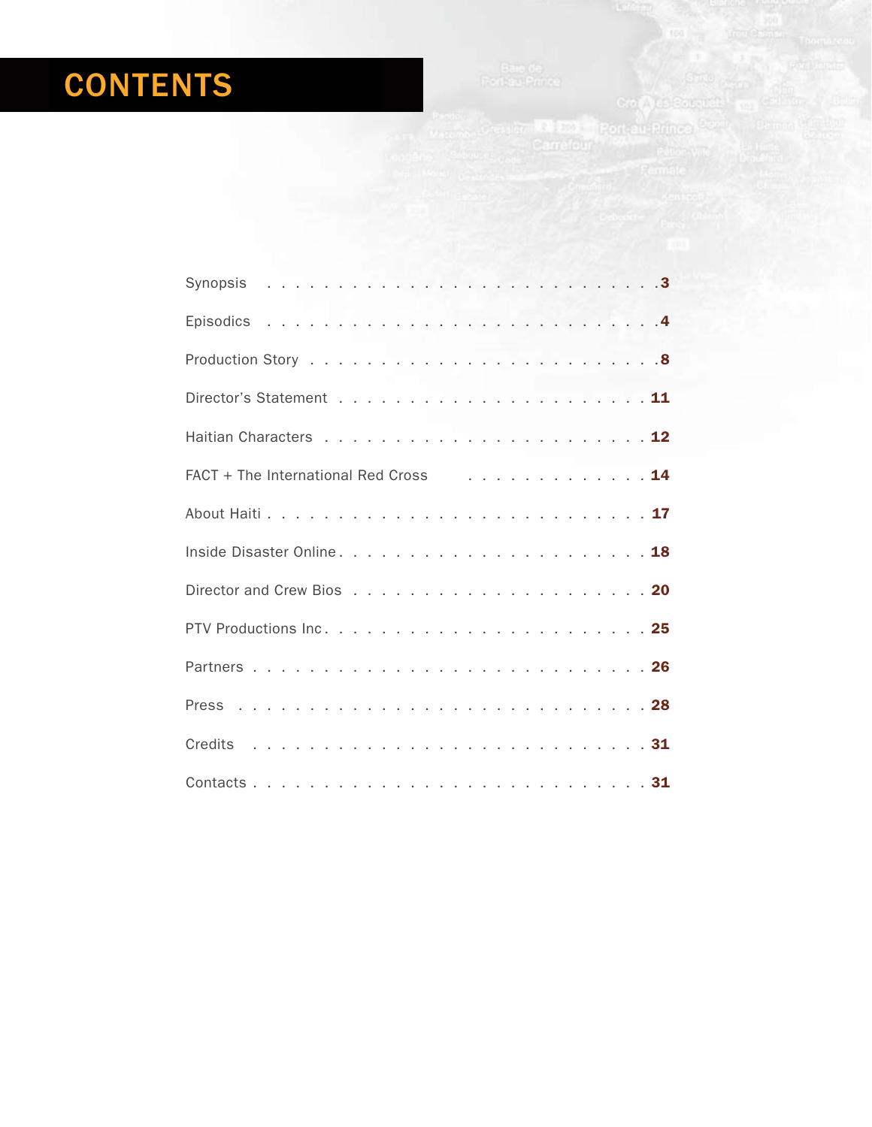# **CONTENTS**

on ALS Paramite

| FACT + The International Red Cross 14 |
|---------------------------------------|
|                                       |
|                                       |
|                                       |
|                                       |
|                                       |
|                                       |
|                                       |
|                                       |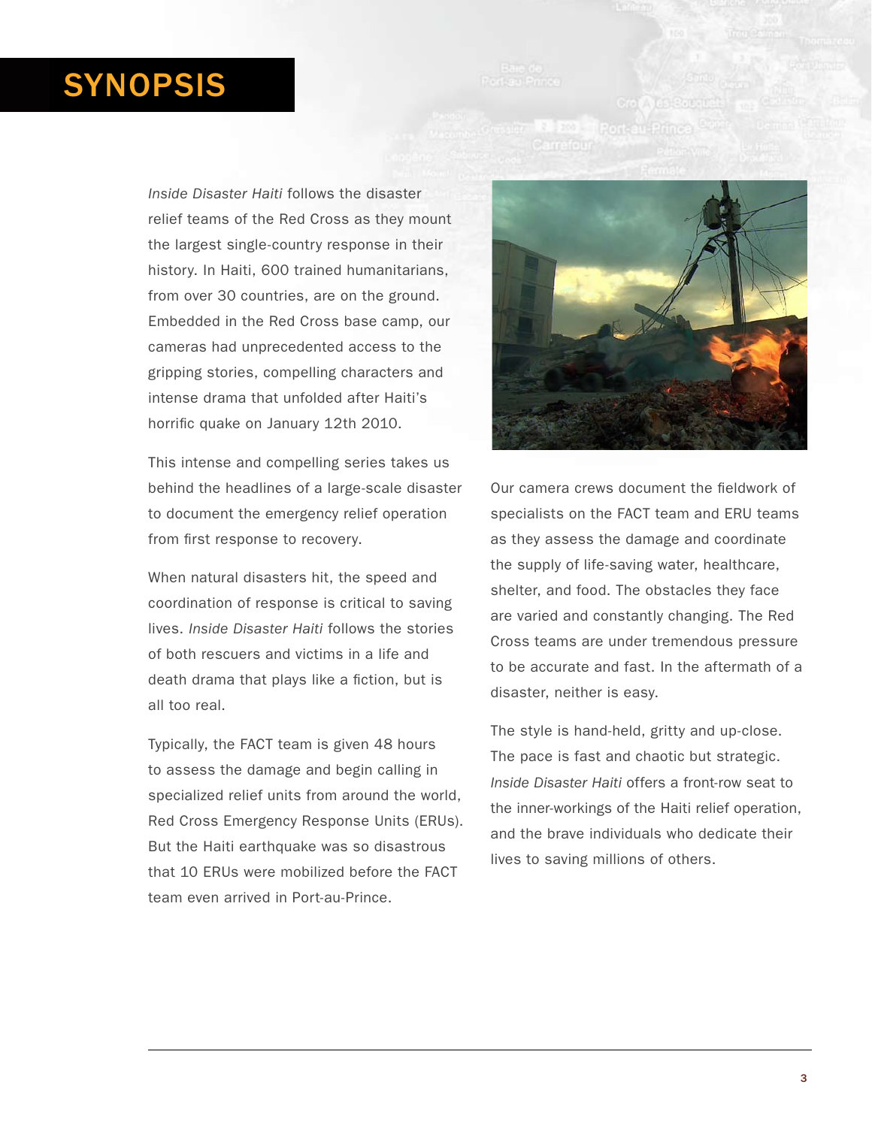# SYNOPSIS

*Inside Disaster Haiti* follows the disaster relief teams of the Red Cross as they mount the largest single-country response in their history. In Haiti, 600 trained humanitarians, from over 30 countries, are on the ground. Embedded in the Red Cross base camp, our cameras had unprecedented access to the gripping stories, compelling characters and intense drama that unfolded after Haiti's horrific quake on January 12th 2010.

This intense and compelling series takes us behind the headlines of a large-scale disaster to document the emergency relief operation from first response to recovery.

When natural disasters hit, the speed and coordination of response is critical to saving lives.*Inside Disaster Haiti* follows the stories of both rescuers and victims in a life and death drama that plays like a fiction, but is all too real.

Typically, the FACT team is given 48 hours to assess the damage and begin calling in specialized relief units from around the world, Red Cross Emergency Response Units (ERUs). But the Haiti earthquake was so disastrous that 10 ERUs were mobilized before the FACT team even arrived in Port-au-Prince.



Our camera crews document the fieldwork of specialists on the FACT team and ERU teams as they assess the damage and coordinate the supply of life-saving water, healthcare, shelter, and food. The obstacles they face are varied and constantly changing. The Red Cross teams are under tremendous pressure to be accurate and fast. In the aftermath of a disaster, neither is easy.

The style is hand-held, gritty and up-close. The pace is fast and chaotic but strategic. *Inside Disaster Haiti* offers a front-row seat to the inner-workings of the Haiti relief operation, and the brave individuals who dedicate their lives to saving millions of others.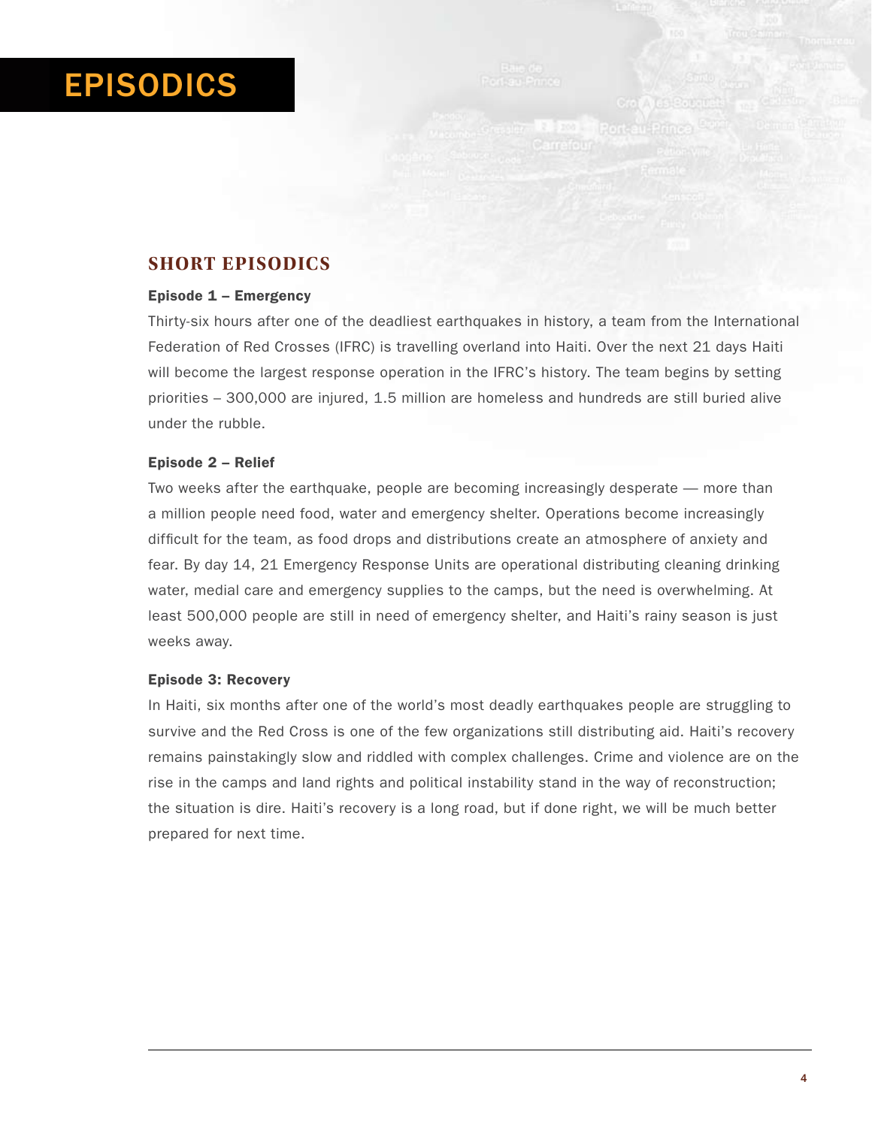# EPISODICS

### **SHORT EPISODICS**

#### Episode 1 – Emergency

Thirty-six hours after one of the deadliest earthquakes in history, a team from the International Federation of Red Crosses (IFRC) is travelling overland into Haiti. Over the next 21 days Haiti will become the largest response operation in the IFRC's history. The team begins by setting priorities – 300,000 are injured, 1.5 million are homeless and hundreds are still buried alive under the rubble.

#### Episode 2 – Relief

Two weeks after the earthquake, people are becoming increasingly desperate — more than a million people need food, water and emergency shelter. Operations become increasingly difficult for the team, as food drops and distributions create an atmosphere of anxiety and fear. By day 14, 21 Emergency Response Units are operational distributing cleaning drinking water, medial care and emergency supplies to the camps, but the need is overwhelming. At least 500,000 people are still in need of emergency shelter, and Haiti's rainy season is just weeks away.

#### Episode 3: Recovery

In Haiti, six months after one of the world's most deadly earthquakes people are struggling to survive and the Red Cross is one of the few organizations still distributing aid. Haiti's recovery remains painstakingly slow and riddled with complex challenges. Crime and violence are on the rise in the camps and land rights and political instability stand in the way of reconstruction; the situation is dire. Haiti's recovery is a long road, but if done right, we will be much better prepared for next time.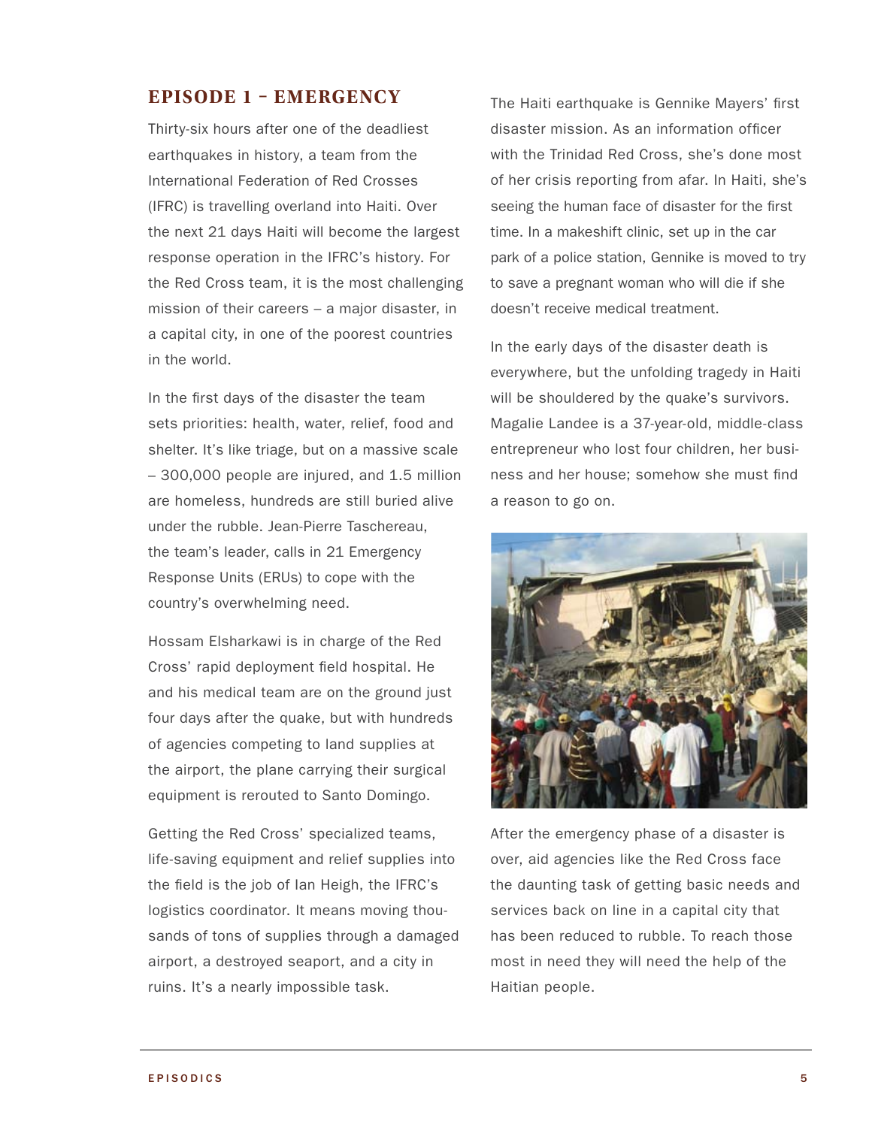### **Episode 1 – Emergency**

Thirty-six hours after one of the deadliest earthquakes in history, a team from the International Federation of Red Crosses (IFRC) is travelling overland into Haiti. Over the next 21 days Haiti will become the largest response operation in the IFRC's history. For the Red Cross team, it is the most challenging mission of their careers – a major disaster, in a capital city, in one of the poorest countries in the world.

In the first days of the disaster the team sets priorities: health, water, relief, food and shelter. It's like triage, but on a massive scale – 300,000 people are injured, and 1.5 million are homeless, hundreds are still buried alive under the rubble. Jean-Pierre Taschereau, the team's leader, calls in 21 Emergency Response Units (ERUs) to cope with the country's overwhelming need.

Hossam Elsharkawi is in charge of the Red Cross' rapid deployment field hospital. He and his medical team are on the ground just four days after the quake, but with hundreds of agencies competing to land supplies at the airport, the plane carrying their surgical equipment is rerouted to Santo Domingo.

Getting the Red Cross' specialized teams, life-saving equipment and relief supplies into the field is the job of Ian Heigh, the IFRC's logistics coordinator. It means moving thousands of tons of supplies through a damaged airport, a destroyed seaport, and a city in ruins. It's a nearly impossible task.

The Haiti earthquake is Gennike Mayers' first disaster mission. As an information officer with the Trinidad Red Cross, she's done most of her crisis reporting from afar. In Haiti, she's seeing the human face of disaster for the first time. In a makeshift clinic, set up in the car park of a police station, Gennike is moved to try to save a pregnant woman who will die if she doesn't receive medical treatment.

In the early days of the disaster death is everywhere, but the unfolding tragedy in Haiti will be shouldered by the quake's survivors. Magalie Landee is a 37-year-old, middle-class entrepreneur who lost four children, her business and her house; somehow she must find a reason to go on.



After the emergency phase of a disaster is over, aid agencies like the Red Cross face the daunting task of getting basic needs and services back on line in a capital city that has been reduced to rubble. To reach those most in need they will need the help of the Haitian people.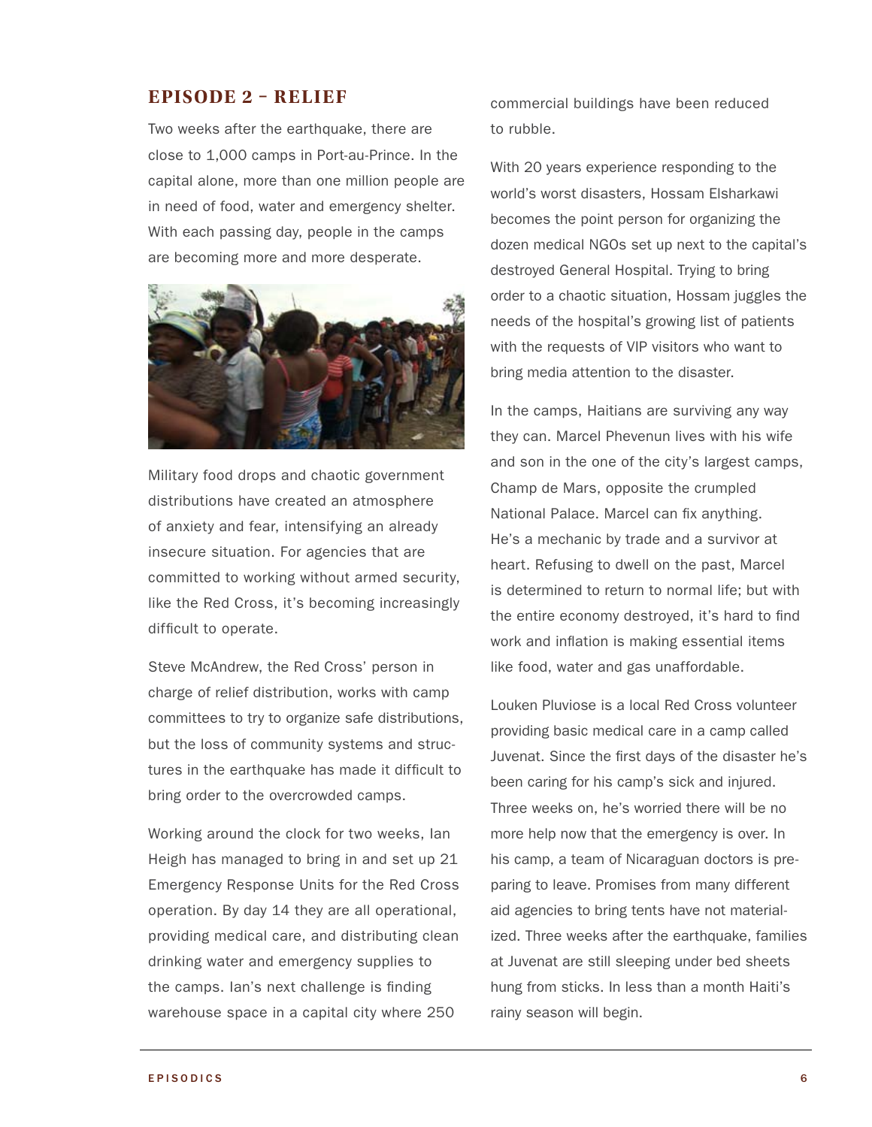### **Episode 2 – Relief**

Two weeks after the earthquake, there are close to 1,000 camps in Port-au-Prince. In the capital alone, more than one million people are in need of food, water and emergency shelter. With each passing day, people in the camps are becoming more and more desperate.



Military food drops and chaotic government distributions have created an atmosphere of anxiety and fear, intensifying an already insecure situation. For agencies that are committed to working without armed security, like the Red Cross, it's becoming increasingly difficult to operate.

Steve McAndrew, the Red Cross' person in charge of relief distribution, works with camp committees to try to organize safe distributions, but the loss of community systems and structures in the earthquake has made it difficult to bring order to the overcrowded camps.

Working around the clock for two weeks, Ian Heigh has managed to bring in and set up 21 Emergency Response Units for the Red Cross operation. By day 14 they are all operational, providing medical care, and distributing clean drinking water and emergency supplies to the camps. Ian's next challenge is finding warehouse space in a capital city where 250

commercial buildings have been reduced to rubble.

With 20 years experience responding to the world's worst disasters, Hossam Elsharkawi becomes the point person for organizing the dozen medical NGOs set up next to the capital's destroyed General Hospital. Trying to bring order to a chaotic situation, Hossam juggles the needs of the hospital's growing list of patients with the requests of VIP visitors who want to bring media attention to the disaster.

In the camps, Haitians are surviving any way they can. Marcel Phevenun lives with his wife and son in the one of the city's largest camps, Champ de Mars, opposite the crumpled National Palace. Marcel can fix anything. He's a mechanic by trade and a survivor at heart. Refusing to dwell on the past, Marcel is determined to return to normal life; but with the entire economy destroyed, it's hard to find work and inflation is making essential items like food, water and gas unaffordable.

Louken Pluviose is a local Red Cross volunteer providing basic medical care in a camp called Juvenat. Since the first days of the disaster he's been caring for his camp's sick and injured. Three weeks on, he's worried there will be no more help now that the emergency is over. In his camp, a team of Nicaraguan doctors is preparing to leave. Promises from many different aid agencies to bring tents have not materialized. Three weeks after the earthquake, families at Juvenat are still sleeping under bed sheets hung from sticks. In less than a month Haiti's rainy season will begin.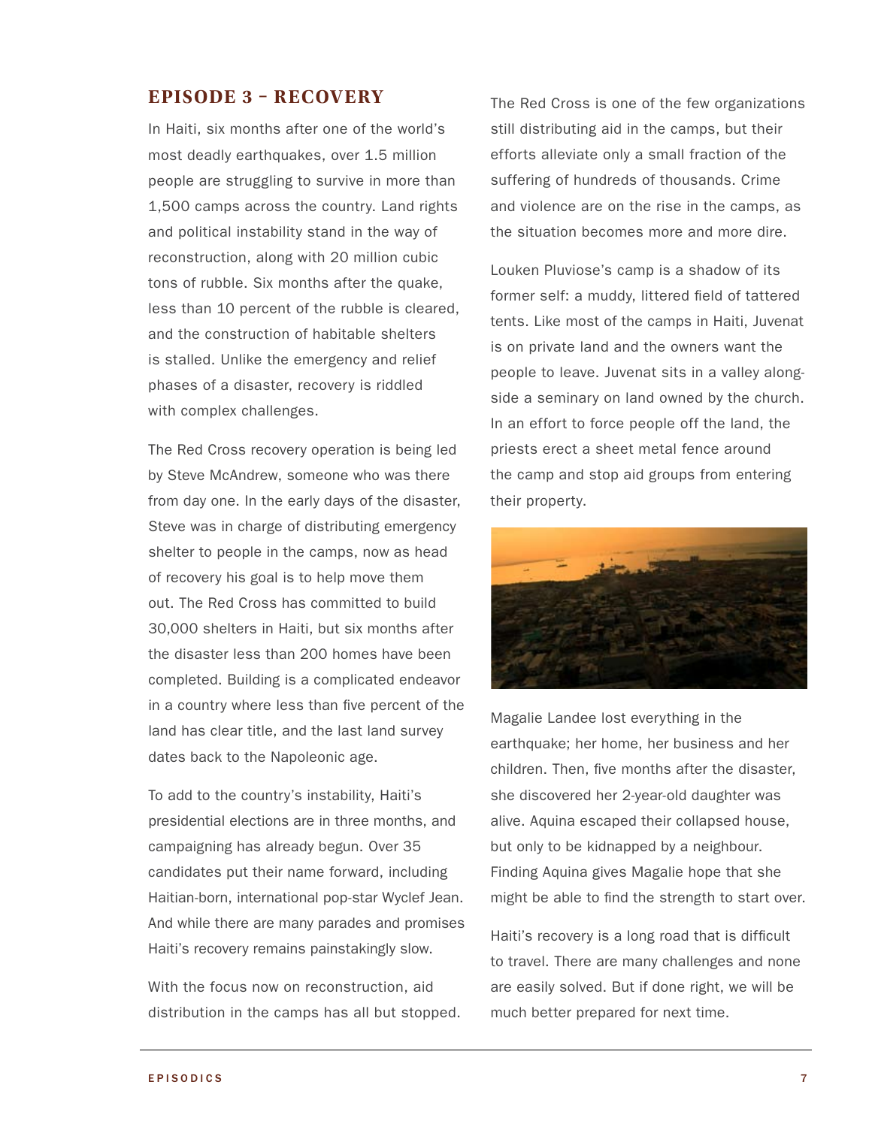### **Episode 3 – RECOVERY**

In Haiti, six months after one of the world's most deadly earthquakes, over 1.5 million people are struggling to survive in more than 1,500 camps across the country. Land rights and political instability stand in the way of reconstruction, along with 20 million cubic tons of rubble. Six months after the quake, less than 10 percent of the rubble is cleared, and the construction of habitable shelters is stalled. Unlike the emergency and relief phases of a disaster, recovery is riddled with complex challenges.

The Red Cross recovery operation is being led by Steve McAndrew, someone who was there from day one. In the early days of the disaster, Steve was in charge of distributing emergency shelter to people in the camps, now as head of recovery his goal is to help move them out. The Red Cross has committed to build 30,000 shelters in Haiti, but six months after the disaster less than 200 homes have been completed. Building is a complicated endeavor in a country where less than five percent of the land has clear title, and the last land survey dates back to the Napoleonic age.

To add to the country's instability, Haiti's presidential elections are in three months, and campaigning has already begun. Over 35 candidates put their name forward, including Haitian-born, international pop-star Wyclef Jean. And while there are many parades and promises Haiti's recovery remains painstakingly slow.

With the focus now on reconstruction, aid distribution in the camps has all but stopped. The Red Cross is one of the few organizations still distributing aid in the camps, but their efforts alleviate only a small fraction of the suffering of hundreds of thousands. Crime and violence are on the rise in the camps, as the situation becomes more and more dire.

Louken Pluviose's camp is a shadow of its former self: a muddy, littered field of tattered tents. Like most of the camps in Haiti, Juvenat is on private land and the owners want the people to leave. Juvenat sits in a valley alongside a seminary on land owned by the church. In an effort to force people off the land, the priests erect a sheet metal fence around the camp and stop aid groups from entering their property.



Magalie Landee lost everything in the earthquake; her home, her business and her children. Then, five months after the disaster, she discovered her 2-year-old daughter was alive. Aquina escaped their collapsed house, but only to be kidnapped by a neighbour. Finding Aquina gives Magalie hope that she might be able to find the strength to start over.

Haiti's recovery is a long road that is difficult to travel. There are many challenges and none are easily solved. But if done right, we will be much better prepared for next time.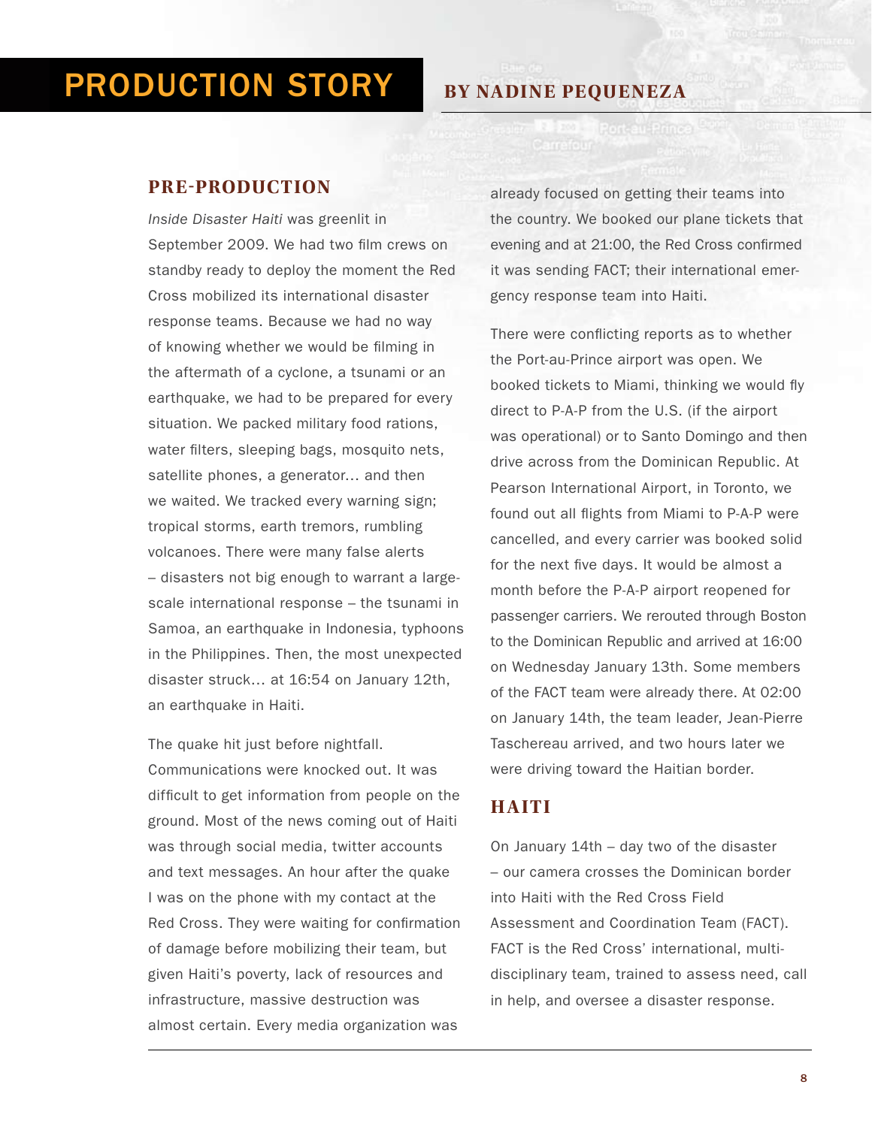# Production Story

#### **PRE-PRODUCTION**

*Inside Disaster Haiti* was greenlit in September 2009. We had two film crews on standby ready to deploy the moment the Red Cross mobilized its international disaster response teams. Because we had no way of knowing whether we would be filming in the aftermath of a cyclone, a tsunami or an earthquake, we had to be prepared for every situation. We packed military food rations, water filters, sleeping bags, mosquito nets, satellite phones, a generator… and then we waited. We tracked every warning sign; tropical storms, earth tremors, rumbling volcanoes. There were many false alerts – disasters not big enough to warrant a largescale international response – the tsunami in Samoa, an earthquake in Indonesia, typhoons in the Philippines. Then, the most unexpected disaster struck… at 16:54 on January 12th, an earthquake in Haiti.

The quake hit just before nightfall. Communications were knocked out. It was difficult to get information from people on the ground. Most of the news coming out of Haiti was through social media, twitter accounts and text messages. An hour after the quake I was on the phone with my contact at the Red Cross. They were waiting for confirmation of damage before mobilizing their team, but given Haiti's poverty, lack of resources and infrastructure, massive destruction was almost certain. Every media organization was

**By Nadine Pequeneza**

already focused on getting their teams into the country. We booked our plane tickets that evening and at 21:00, the Red Cross confirmed it was sending FACT; their international emergency response team into Haiti.

There were conflicting reports as to whether the Port-au-Prince airport was open. We booked tickets to Miami, thinking we would fly direct to P-A-P from the U.S. (if the airport was operational) or to Santo Domingo and then drive across from the Dominican Republic. At Pearson International Airport, in Toronto, we found out all flights from Miami to P-A-P were cancelled, and every carrier was booked solid for the next five days. It would be almost a month before the P-A-P airport reopened for passenger carriers. We rerouted through Boston to the Dominican Republic and arrived at 16:00 on Wednesday January 13th. Some members of the FACT team were already there. At 02:00 on January 14th, the team leader, Jean-Pierre Taschereau arrived, and two hours later we were driving toward the Haitian border.

### **HAITI**

On January 14th – day two of the disaster – our camera crosses the Dominican border into Haiti with the Red Cross Field Assessment and Coordination Team (FACT). FACT is the Red Cross' international, multidisciplinary team, trained to assess need, call in help, and oversee a disaster response.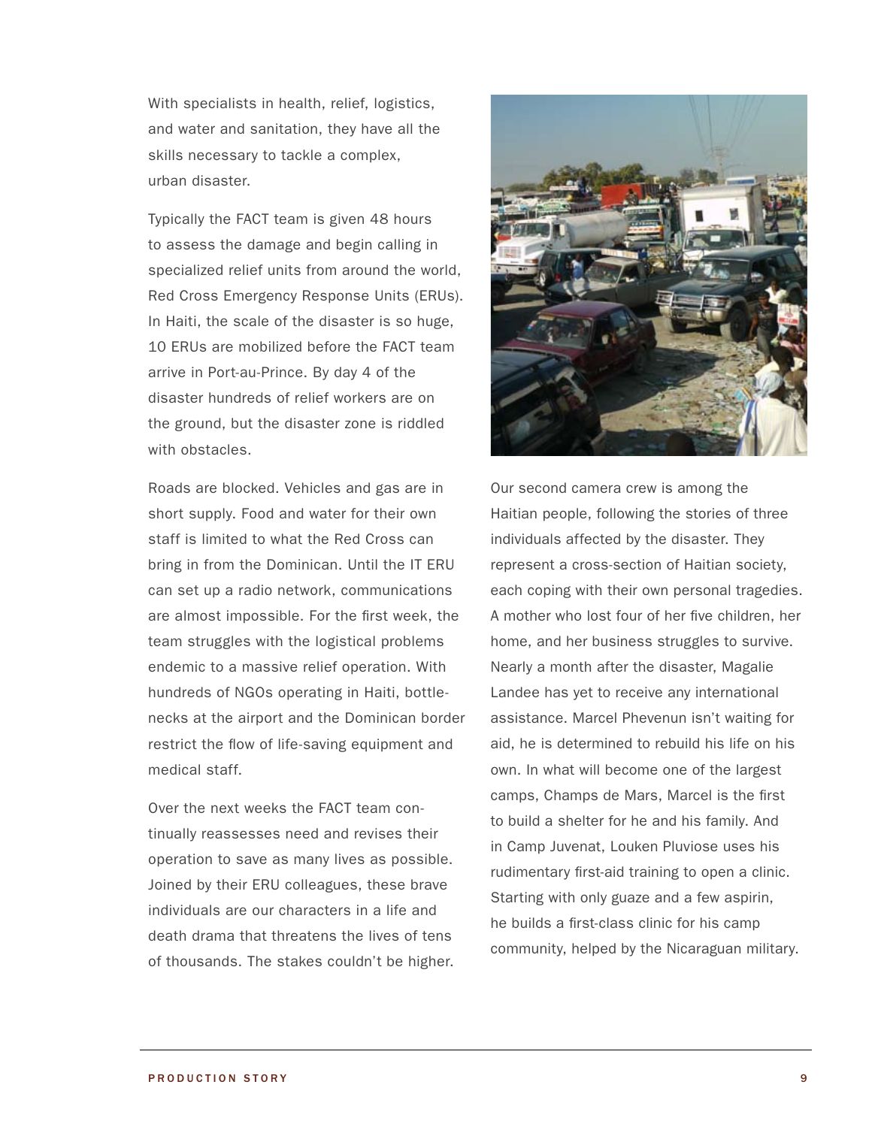With specialists in health, relief, logistics, and water and sanitation, they have all the skills necessary to tackle a complex, urban disaster.

Typically the FACT team is given 48 hours to assess the damage and begin calling in specialized relief units from around the world, Red Cross Emergency Response Units (ERUs). In Haiti, the scale of the disaster is so huge, 10 ERUs are mobilized before the FACT team arrive in Port-au-Prince. By day 4 of the disaster hundreds of relief workers are on the ground, but the disaster zone is riddled with obstacles.

Roads are blocked. Vehicles and gas are in short supply. Food and water for their own staff is limited to what the Red Cross can bring in from the Dominican. Until the IT ERU can set up a radio network, communications are almost impossible. For the first week, the team struggles with the logistical problems endemic to a massive relief operation. With hundreds of NGOs operating in Haiti, bottlenecks at the airport and the Dominican border restrict the flow of life-saving equipment and medical staff.

Over the next weeks the FACT team continually reassesses need and revises their operation to save as many lives as possible. Joined by their ERU colleagues, these brave individuals are our characters in a life and death drama that threatens the lives of tens of thousands. The stakes couldn't be higher.



Our second camera crew is among the Haitian people, following the stories of three individuals affected by the disaster. They represent a cross-section of Haitian society, each coping with their own personal tragedies. A mother who lost four of her five children, her home, and her business struggles to survive. Nearly a month after the disaster, Magalie Landee has yet to receive any international assistance. Marcel Phevenun isn't waiting for aid, he is determined to rebuild his life on his own. In what will become one of the largest camps, Champs de Mars, Marcel is the first to build a shelter for he and his family. And in Camp Juvenat, Louken Pluviose uses his rudimentary first-aid training to open a clinic. Starting with only guaze and a few aspirin, he builds a first-class clinic for his camp community, helped by the Nicaraguan military.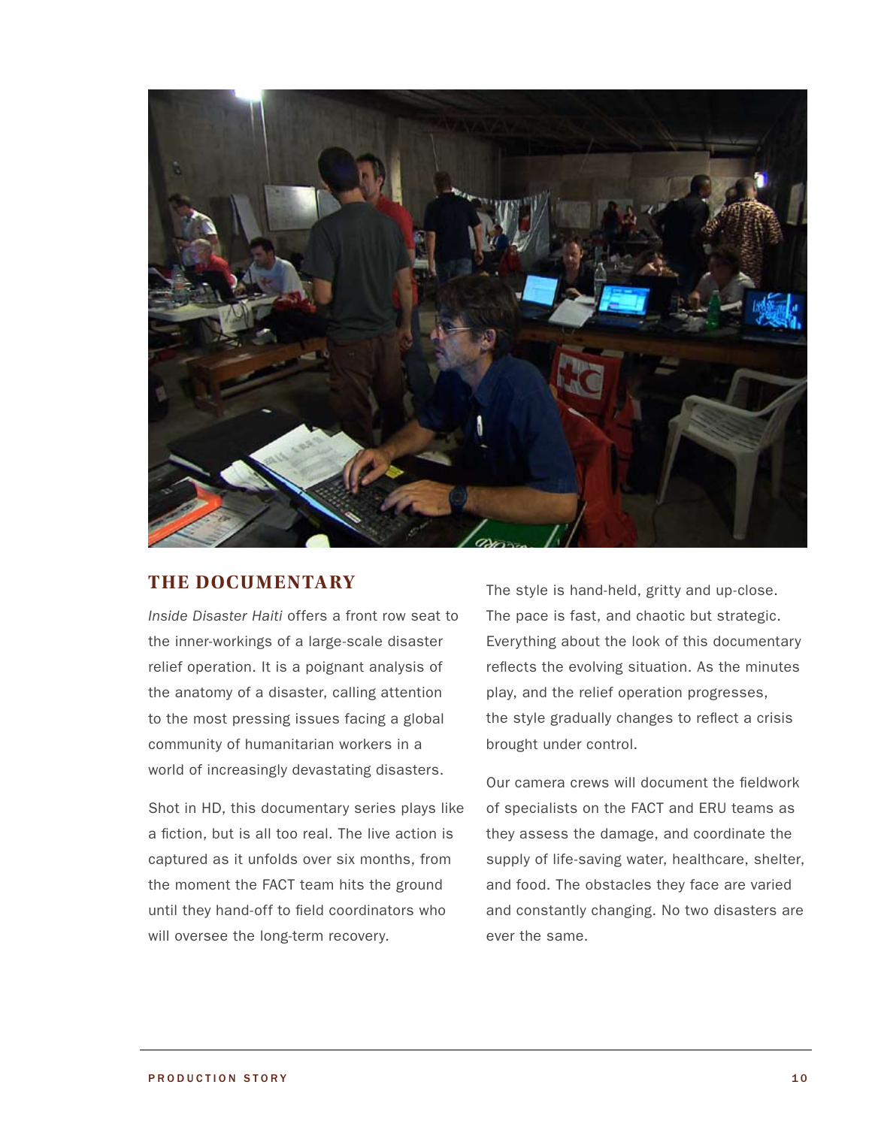

### **THE DOCUMENTARY**

*Inside Disaster Haiti* offers a front row seat to the inner-workings of a large-scale disaster relief operation. It is a poignant analysis of the anatomy of a disaster, calling attention to the most pressing issues facing a global community of humanitarian workers in a world of increasingly devastating disasters.

Shot in HD, this documentary series plays like a fiction, but is all too real. The live action is captured as it unfolds over six months, from the moment the FACT team hits the ground until they hand-off to field coordinators who will oversee the long-term recovery.

The style is hand-held, gritty and up-close. The pace is fast, and chaotic but strategic. Everything about the look of this documentary reflects the evolving situation. As the minutes play, and the relief operation progresses, the style gradually changes to reflect a crisis brought under control.

Our camera crews will document the fieldwork of specialists on the FACT and ERU teams as they assess the damage, and coordinate the supply of life-saving water, healthcare, shelter, and food. The obstacles they face are varied and constantly changing. No two disasters are ever the same.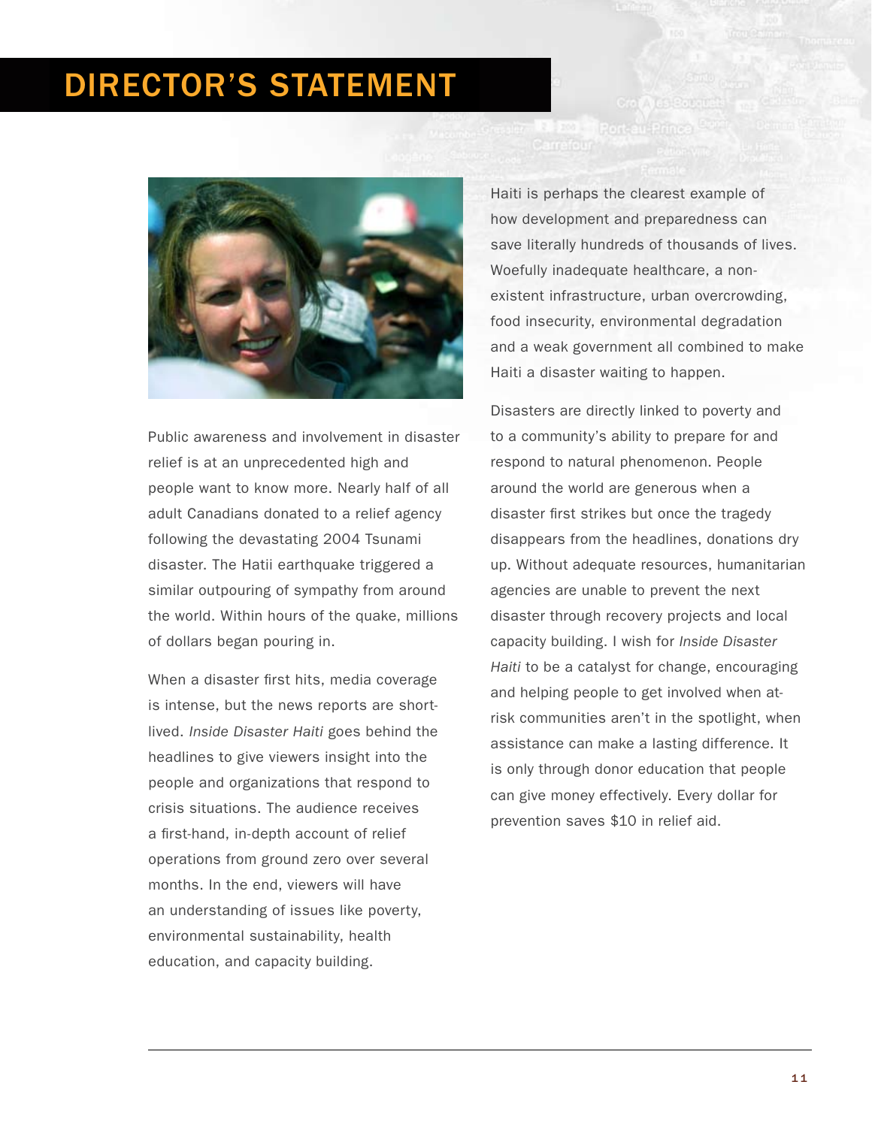# DIRECTOR'S STATEMENT



Public awareness and involvement in disaster relief is at an unprecedented high and people want to know more. Nearly half of all adult Canadians donated to a relief agency following the devastating 2004 Tsunami disaster. The Hatii earthquake triggered a similar outpouring of sympathy from around the world. Within hours of the quake, millions of dollars began pouring in.

When a disaster first hits, media coverage is intense, but the news reports are shortlived.*Inside Disaster Haiti* goes behind the headlines to give viewers insight into the people and organizations that respond to crisis situations. The audience receives a first-hand, in-depth account of relief operations from ground zero over several months. In the end, viewers will have an understanding of issues like poverty, environmental sustainability, health education, and capacity building.

Haiti is perhaps the clearest example of how development and preparedness can save literally hundreds of thousands of lives. Woefully inadequate healthcare, a nonexistent infrastructure, urban overcrowding, food insecurity, environmental degradation and a weak government all combined to make Haiti a disaster waiting to happen.

Musievi

**TT** F<sup>or</sup> Port au Princ<br>Carractur

Disasters are directly linked to poverty and to a community's ability to prepare for and respond to natural phenomenon. People around the world are generous when a disaster first strikes but once the tragedy disappears from the headlines, donations dry up. Without adequate resources, humanitarian agencies are unable to prevent the next disaster through recovery projects and local capacity building. I wish for *Inside Disaster Haiti* to be a catalyst for change, encouraging and helping people to get involved when atrisk communities aren't in the spotlight, when assistance can make a lasting difference. It is only through donor education that people can give money effectively. Every dollar for prevention saves \$10 in relief aid.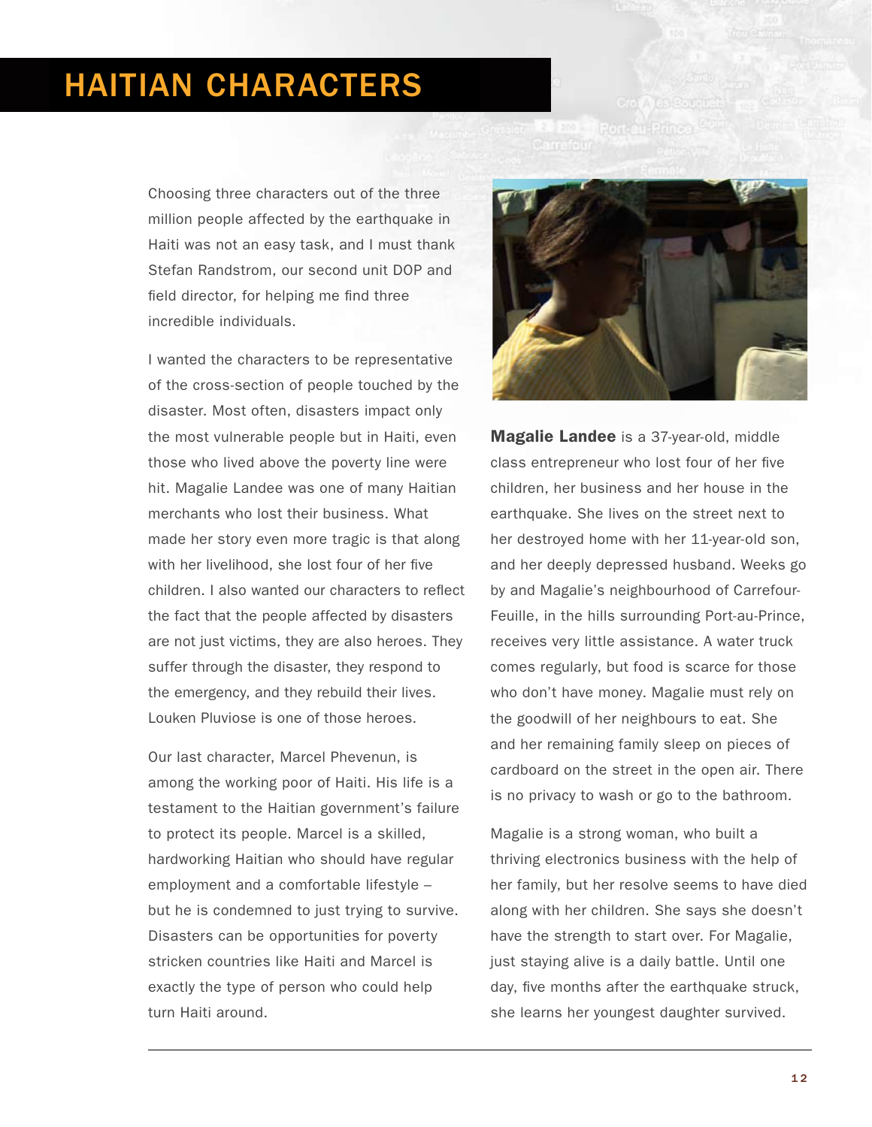# HAITIAN CHARACTERS

Choosing three characters out of the three million people affected by the earthquake in Haiti was not an easy task, and I must thank Stefan Randstrom, our second unit DOP and field director, for helping me find three incredible individuals.

I wanted the characters to be representative of the cross-section of people touched by the disaster. Most often, disasters impact only the most vulnerable people but in Haiti, even those who lived above the poverty line were hit. Magalie Landee was one of many Haitian merchants who lost their business. What made her story even more tragic is that along with her livelihood, she lost four of her five children. I also wanted our characters to reflect the fact that the people affected by disasters are not just victims, they are also heroes. They suffer through the disaster, they respond to the emergency, and they rebuild their lives. Louken Pluviose is one of those heroes.

Our last character, Marcel Phevenun, is among the working poor of Haiti. His life is a testament to the Haitian government's failure to protect its people. Marcel is a skilled, hardworking Haitian who should have regular employment and a comfortable lifestyle – but he is condemned to just trying to survive. Disasters can be opportunities for poverty stricken countries like Haiti and Marcel is exactly the type of person who could help turn Haiti around.



**Magalie Landee** is a 37-year-old, middle class entrepreneur who lost four of her five children, her business and her house in the earthquake. She lives on the street next to her destroyed home with her 11-year-old son, and her deeply depressed husband. Weeks go by and Magalie's neighbourhood of Carrefour-Feuille, in the hills surrounding Port-au-Prince, receives very little assistance. A water truck comes regularly, but food is scarce for those who don't have money. Magalie must rely on the goodwill of her neighbours to eat. She and her remaining family sleep on pieces of cardboard on the street in the open air. There is no privacy to wash or go to the bathroom.

Magalie is a strong woman, who built a thriving electronics business with the help of her family, but her resolve seems to have died along with her children. She says she doesn't have the strength to start over. For Magalie, just staying alive is a daily battle. Until one day, five months after the earthquake struck, she learns her youngest daughter survived.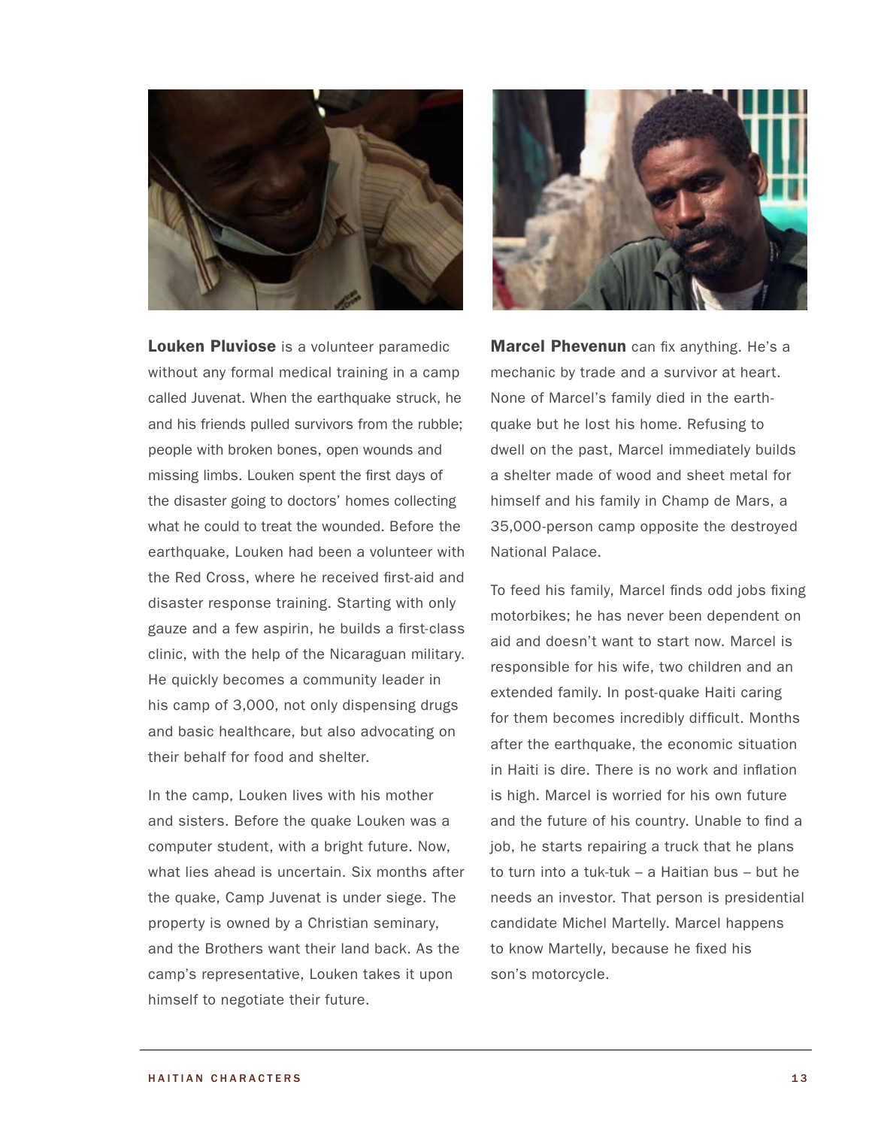

Louken Pluviose is a volunteer paramedic without any formal medical training in a camp called Juvenat. When the earthquake struck, he and his friends pulled survivors from the rubble; people with broken bones, open wounds and missing limbs. Louken spent the first days of the disaster going to doctors' homes collecting what he could to treat the wounded. Before the earthquake, Louken had been a volunteer with the Red Cross, where he received first-aid and disaster response training. Starting with only gauze and a few aspirin, he builds a first-class clinic, with the help of the Nicaraguan military. He quickly becomes a community leader in his camp of 3,000, not only dispensing drugs and basic healthcare, but also advocating on their behalf for food and shelter.

In the camp, Louken lives with his mother and sisters. Before the quake Louken was a computer student, with a bright future. Now, what lies ahead is uncertain. Six months after the quake, Camp Juvenat is under siege. The property is owned by a Christian seminary, and the Brothers want their land back. As the camp's representative, Louken takes it upon himself to negotiate their future.



**Marcel Phevenun** can fix anything. He's a mechanic by trade and a survivor at heart. None of Marcel's family died in the earthquake but he lost his home. Refusing to dwell on the past, Marcel immediately builds a shelter made of wood and sheet metal for himself and his family in Champ de Mars, a 35,000-person camp opposite the destroyed National Palace.

To feed his family, Marcel finds odd jobs fixing motorbikes; he has never been dependent on aid and doesn't want to start now. Marcel is responsible for his wife, two children and an extended family. In post-quake Haiti caring for them becomes incredibly difficult. Months after the earthquake, the economic situation in Haiti is dire. There is no work and inflation is high. Marcel is worried for his own future and the future of his country. Unable to find a job, he starts repairing a truck that he plans to turn into a tuk-tuk – a Haitian bus – but he needs an investor. That person is presidential candidate Michel Martelly. Marcel happens to know Martelly, because he fixed his son's motorcycle.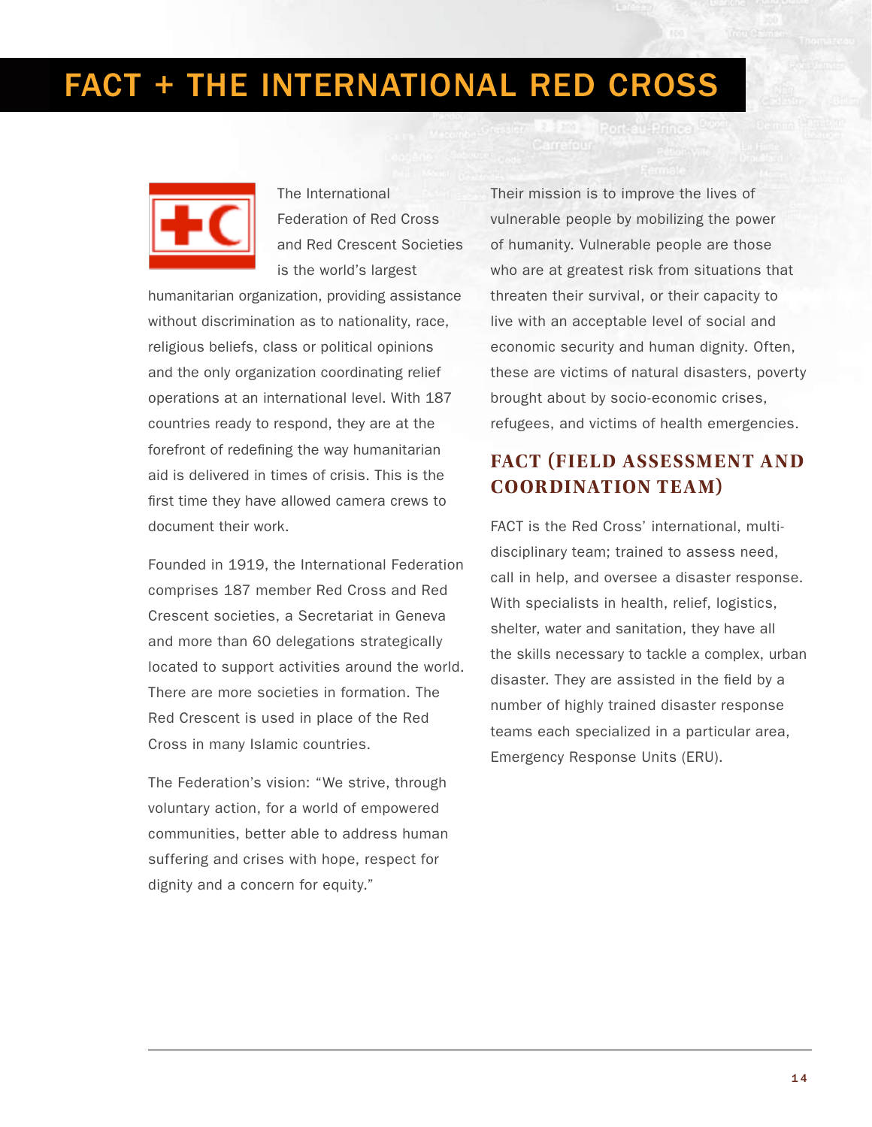# FACT + The International Red Cross



The International Federation of Red Cross and Red Crescent Societies is the world's largest

humanitarian organization, providing assistance without discrimination as to nationality, race, religious beliefs, class or political opinions and the only organization coordinating relief operations at an international level. With 187 countries ready to respond, they are at the forefront of redefining the way humanitarian aid is delivered in times of crisis. This is the first time they have allowed camera crews to document their work.

Founded in 1919, the International Federation comprises 187 member Red Cross and Red Crescent societies, a Secretariat in Geneva and more than 60 delegations strategically located to support activities around the world. There are more societies in formation. The Red Crescent is used in place of the Red Cross in many Islamic countries.

The Federation's vision: "We strive, through voluntary action, for a world of empowered communities, better able to address human suffering and crises with hope, respect for dignity and a concern for equity."

Their mission is to improve the lives of vulnerable people by mobilizing the power of humanity. Vulnerable people are those who are at greatest risk from situations that threaten their survival, or their capacity to live with an acceptable level of social and economic security and human dignity. Often, these are victims of natural disasters, poverty brought about by socio-economic crises, refugees, and victims of health emergencies.

# **FACT (Field Assessment and Coordination Team)**

FACT is the Red Cross' international, multidisciplinary team; trained to assess need, call in help, and oversee a disaster response. With specialists in health, relief, logistics, shelter, water and sanitation, they have all the skills necessary to tackle a complex, urban disaster. They are assisted in the field by a number of highly trained disaster response teams each specialized in a particular area, Emergency Response Units (ERU).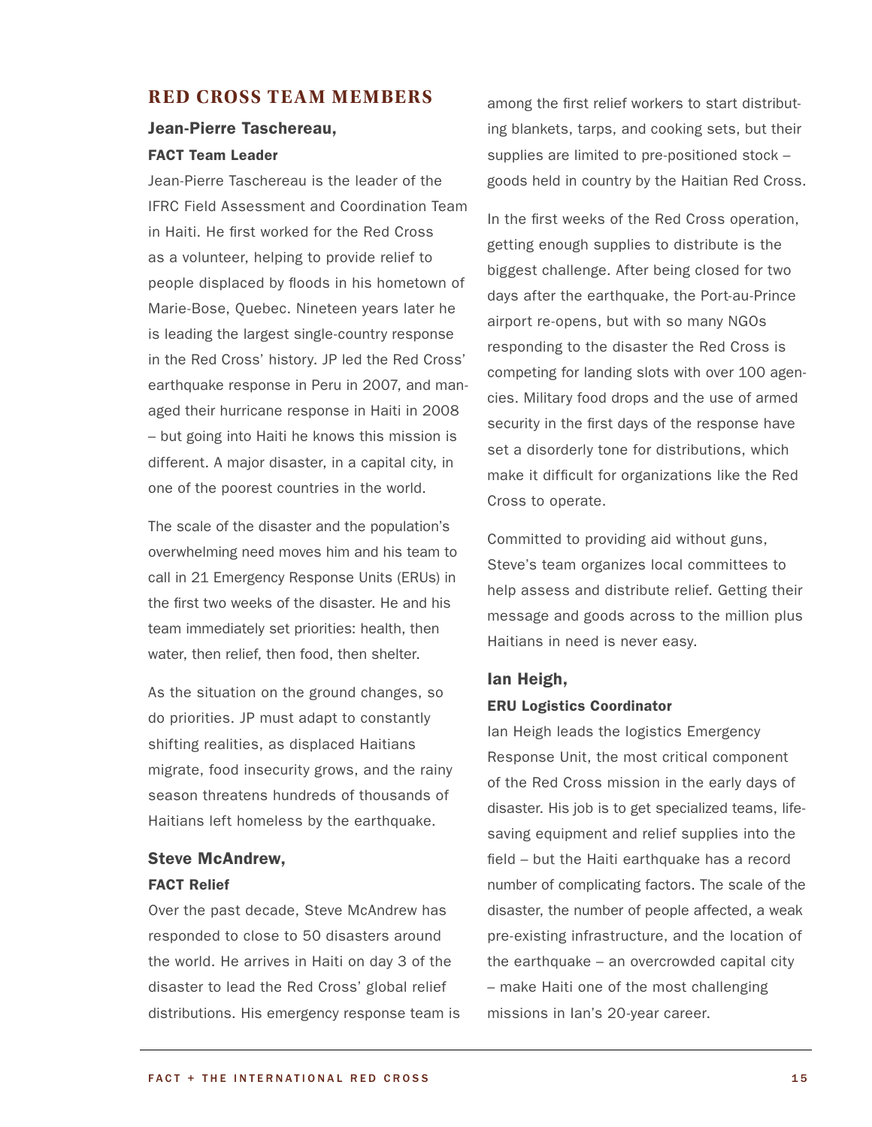### **R ED CROSS TE AM MEMBERS**

### Jean-Pierre Taschereau, FACT Team Leader

Jean-Pierre Taschereau is the leader of the IFRC Field Assessment and Coordination Team in Haiti. He first worked for the Red Cross as a volunteer, helping to provide relief to people displaced by floods in his hometown of Marie-Bose, Quebec. Nineteen years later he is leading the largest single-country response in the Red Cross' history. JP led the Red Cross' earthquake response in Peru in 2007, and managed their hurricane response in Haiti in 2008 – but going into Haiti he knows this mission is different. A major disaster, in a capital city, in one of the poorest countries in the world.

The scale of the disaster and the population's overwhelming need moves him and his team to call in 21 Emergency Response Units (ERUs) in the first two weeks of the disaster. He and his team immediately set priorities: health, then water, then relief, then food, then shelter.

As the situation on the ground changes, so do priorities. JP must adapt to constantly shifting realities, as displaced Haitians migrate, food insecurity grows, and the rainy season threatens hundreds of thousands of Haitians left homeless by the earthquake.

### Steve McAndrew, FACT Relief

Over the past decade, Steve McAndrew has responded to close to 50 disasters around the world. He arrives in Haiti on day 3 of the disaster to lead the Red Cross' global relief distributions. His emergency response team is among the first relief workers to start distributing blankets, tarps, and cooking sets, but their supplies are limited to pre-positioned stock – goods held in country by the Haitian Red Cross.

In the first weeks of the Red Cross operation, getting enough supplies to distribute is the biggest challenge. After being closed for two days after the earthquake, the Port-au-Prince airport re-opens, but with so many NGOs responding to the disaster the Red Cross is competing for landing slots with over 100 agencies. Military food drops and the use of armed security in the first days of the response have set a disorderly tone for distributions, which make it difficult for organizations like the Red Cross to operate.

Committed to providing aid without guns, Steve's team organizes local committees to help assess and distribute relief. Getting their message and goods across to the million plus Haitians in need is never easy.

### Ian Heigh, ERU Logistics Coordinator

Ian Heigh leads the logistics Emergency Response Unit, the most critical component of the Red Cross mission in the early days of disaster. His job is to get specialized teams, lifesaving equipment and relief supplies into the field – but the Haiti earthquake has a record number of complicating factors. The scale of the disaster, the number of people affected, a weak pre-existing infrastructure, and the location of the earthquake – an overcrowded capital city – make Haiti one of the most challenging missions in Ian's 20-year career.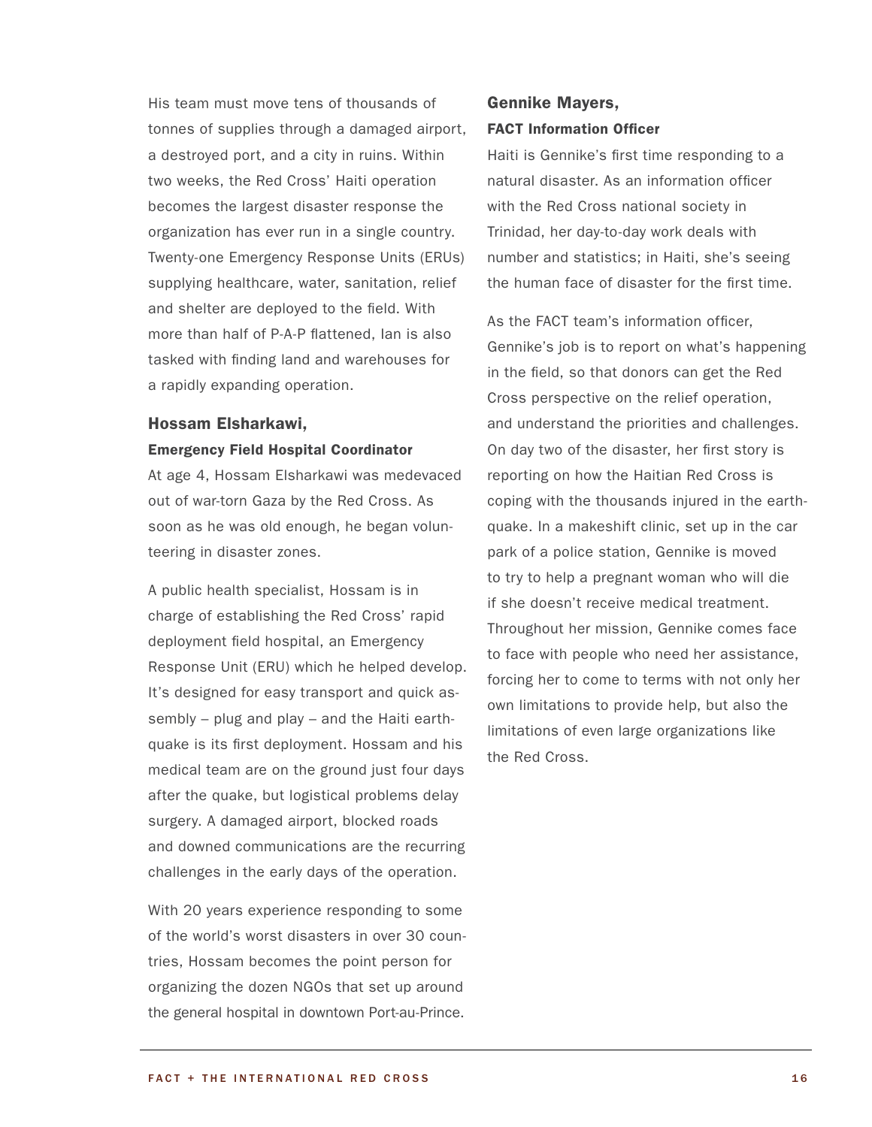His team must move tens of thousands of tonnes of supplies through a damaged airport, a destroyed port, and a city in ruins. Within two weeks, the Red Cross' Haiti operation becomes the largest disaster response the organization has ever run in a single country. Twenty-one Emergency Response Units (ERUs) supplying healthcare, water, sanitation, relief and shelter are deployed to the field. With more than half of P-A-P flattened, Ian is also tasked with finding land and warehouses for a rapidly expanding operation.

#### Hossam Elsharkawi,

#### Emergency Field Hospital Coordinator

At age 4, Hossam Elsharkawi was medevaced out of war-torn Gaza by the Red Cross. As soon as he was old enough, he began volunteering in disaster zones.

A public health specialist, Hossam is in charge of establishing the Red Cross' rapid deployment field hospital, an Emergency Response Unit (ERU) which he helped develop. It's designed for easy transport and quick assembly – plug and play – and the Haiti earthquake is its first deployment. Hossam and his medical team are on the ground just four days after the quake, but logistical problems delay surgery. A damaged airport, blocked roads and downed communications are the recurring challenges in the early days of the operation.

With 20 years experience responding to some of the world's worst disasters in over 30 countries, Hossam becomes the point person for organizing the dozen NGOs that set up around the general hospital in downtown Port-au-Prince.

### Gennike Mayers, FACT Information Officer

Haiti is Gennike's first time responding to a natural disaster. As an information officer with the Red Cross national society in Trinidad, her day-to-day work deals with number and statistics; in Haiti, she's seeing the human face of disaster for the first time.

As the FACT team's information officer, Gennike's job is to report on what's happening in the field, so that donors can get the Red Cross perspective on the relief operation, and understand the priorities and challenges. On day two of the disaster, her first story is reporting on how the Haitian Red Cross is coping with the thousands injured in the earthquake. In a makeshift clinic, set up in the car park of a police station, Gennike is moved to try to help a pregnant woman who will die if she doesn't receive medical treatment. Throughout her mission, Gennike comes face to face with people who need her assistance, forcing her to come to terms with not only her own limitations to provide help, but also the limitations of even large organizations like the Red Cross.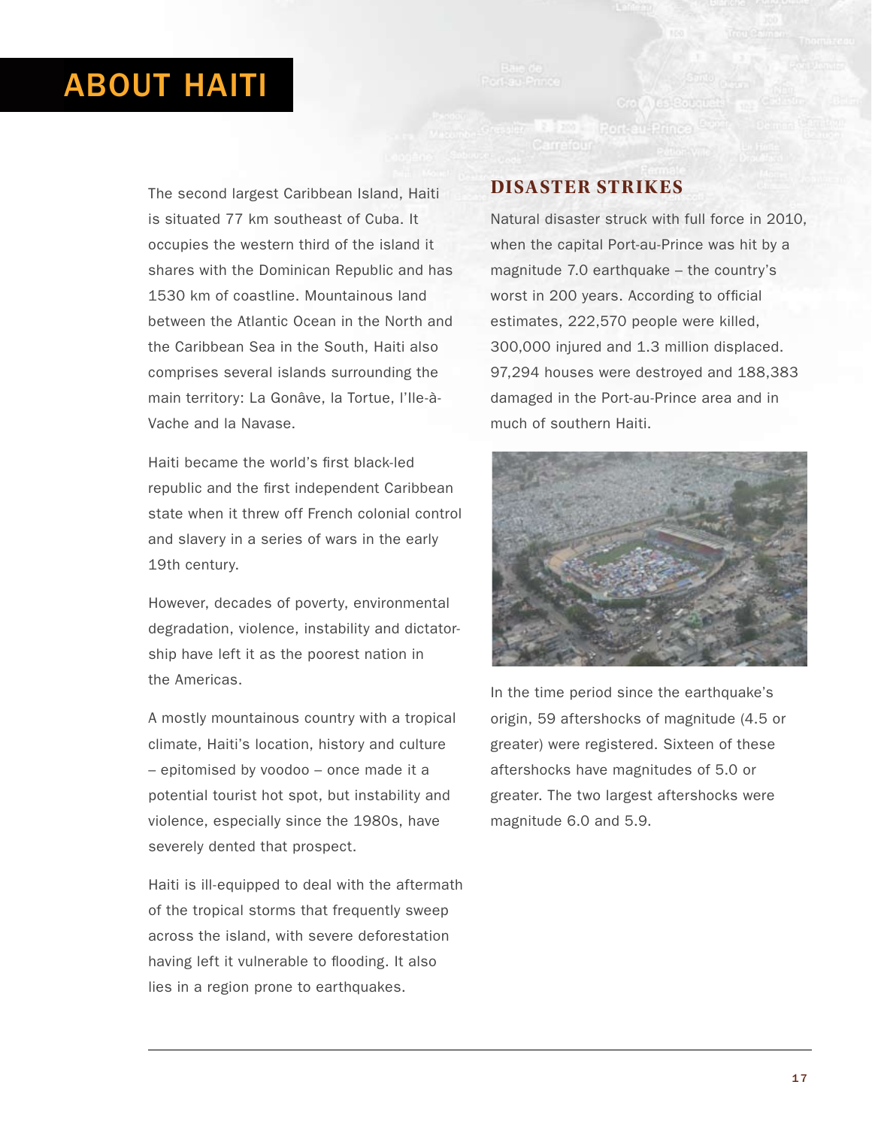# ABOUT HAITI

The second largest Caribbean Island, Haiti is situated 77 km southeast of Cuba. It occupies the western third of the island it shares with the Dominican Republic and has 1530 km of coastline. Mountainous land between the Atlantic Ocean in the North and the Caribbean Sea in the South, Haiti also comprises several islands surrounding the main territory: La Gonâve, la Tortue, l'Ile-à-Vache and la Navase.

Haiti became the world's first black-led republic and the first independent Caribbean state when it threw off French colonial control and slavery in a series of wars in the early 19th century.

However, decades of poverty, environmental degradation, violence, instability and dictatorship have left it as the poorest nation in the Americas.

A mostly mountainous country with a tropical climate, Haiti's location, history and culture – epitomised by voodoo – once made it a potential tourist hot spot, but instability and violence, especially since the 1980s, have severely dented that prospect.

Haiti is ill-equipped to deal with the aftermath of the tropical storms that frequently sweep across the island, with severe deforestation having left it vulnerable to flooding. It also lies in a region prone to earthquakes.

### **Disaster Strikes**

Natural disaster struck with full force in 2010, when the capital Port-au-Prince was hit by a magnitude 7.0 earthquake – the country's worst in 200 years. According to official estimates, 222,570 people were killed, 300,000 injured and 1.3 million displaced. 97,294 houses were destroyed and 188,383 damaged in the Port-au-Prince area and in much of southern Haiti.



In the time period since the earthquake's origin, 59 aftershocks of magnitude (4.5 or greater) were registered. Sixteen of these aftershocks have magnitudes of 5.0 or greater. The two largest aftershocks were magnitude 6.0 and 5.9.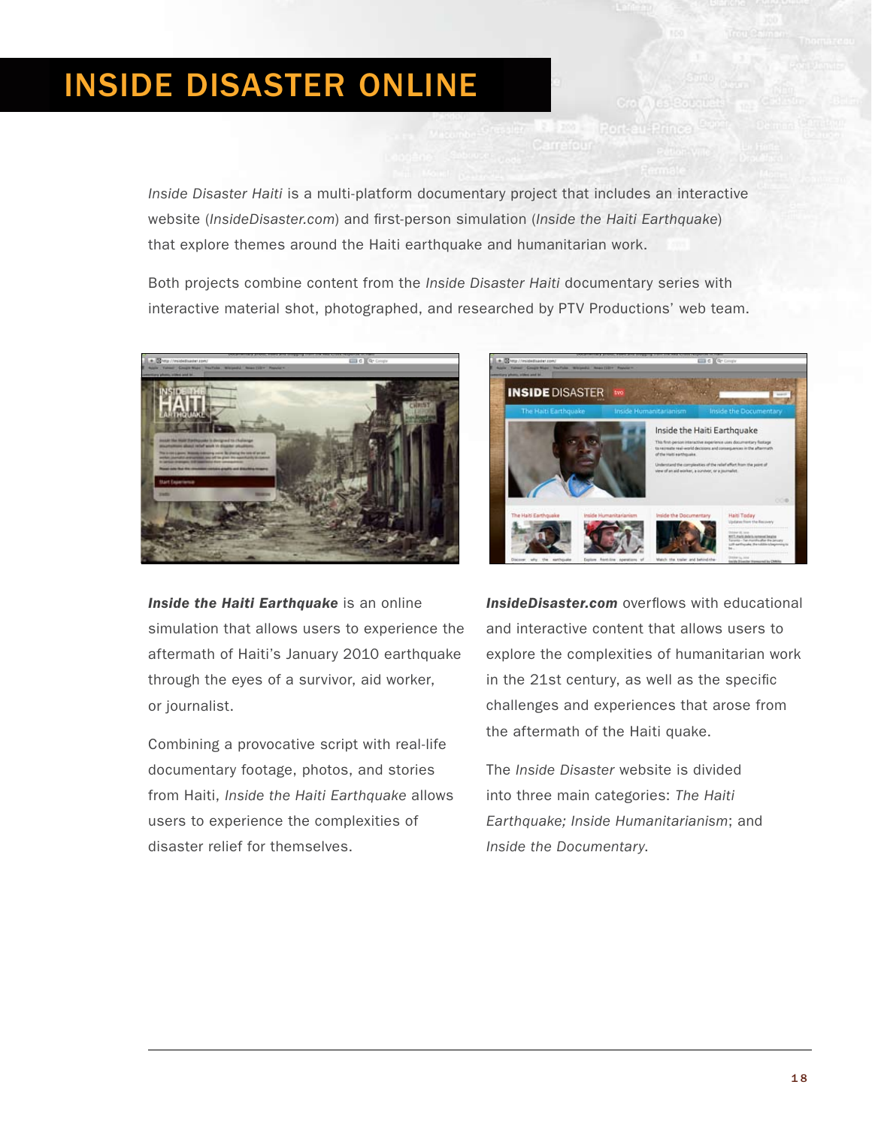# Inside Disaster Online

*Inside Disaster Haiti* is a multi-platform documentary project that includes an interactive website (*[InsideDisaster.com](http://insidedisaster.com)*) and first-person simulation (*[Inside the Haiti Earthquake](http://insidethehaitiearthquake.com)*) that explore themes around the Haiti earthquake and humanitarian work.

Both projects combine content from the *Inside Disaster Haiti* documentary series with interactive material shot, photographed, and researched by PTV Productions' web team.



**[Inside the Haiti Earthquake](http://insidethehaitiearthquake.com)** is an online simulation that allows users to experience the aftermath of Haiti's January 2010 earthquake through the eyes of a survivor, aid worker, or journalist.

Combining a provocative script with real-life documentary footage, photos, and stories from Haiti, *Inside the Haiti Earthquake* allows users to experience the complexities of disaster relief for themselves.



**InsideDisaste[r.com](http://insidedisaster.com)** overflows with educational and interactive content that allows users to explore the complexities of humanitarian work in the 21st century, as well as the specific challenges and experiences that arose from the aftermath of the Haiti quake.

The *Inside Disaster* website is divided into three main categories: *The Haiti Earthquake; Inside Humanitarianism*; and *Inside the Documentary*.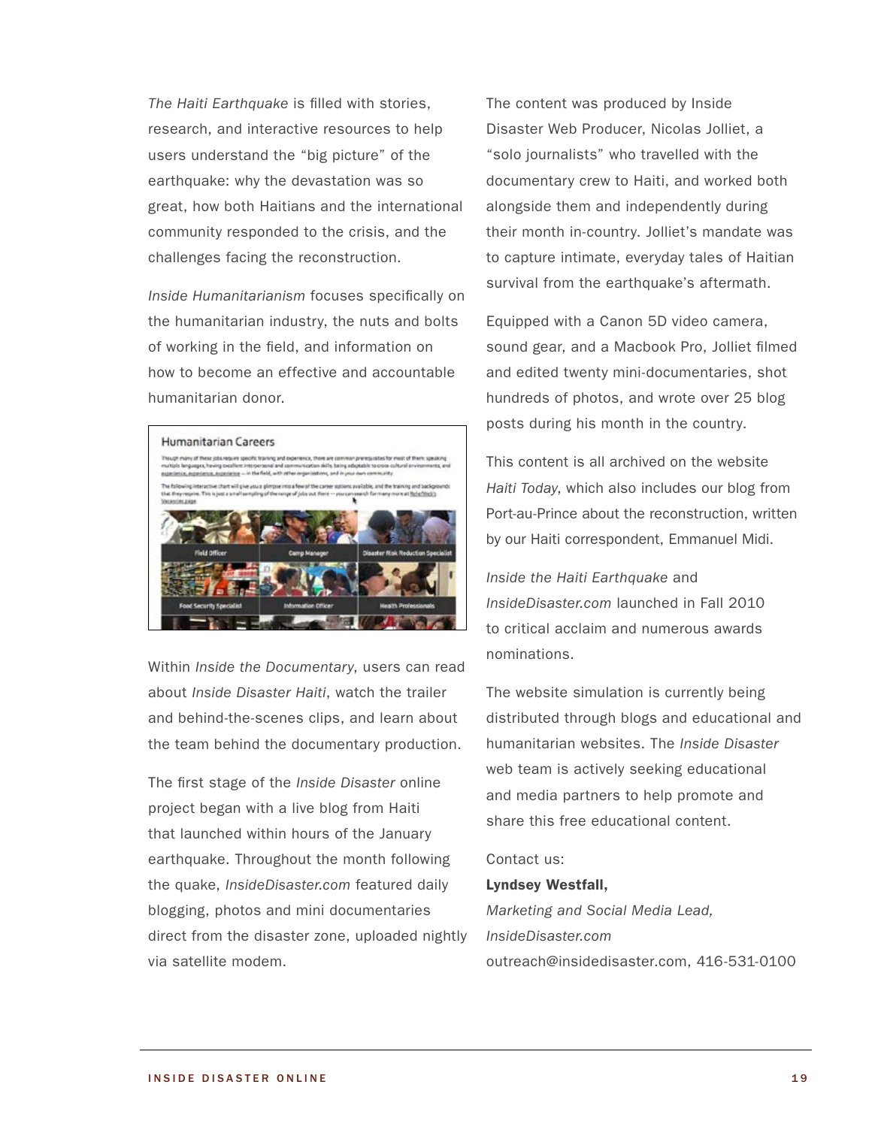*The Haiti Earthquake* is filled with stories, research, and interactive resources to help users understand the "big picture" of the earthquake: why the devastation was so great, how both Haitians and the international community responded to the crisis, and the challenges facing the reconstruction.

*Inside Humanitarianism* focuses specifically on the humanitarian industry, the nuts and bolts of working in the field, and information on how to become an effective and accountable humanitarian donor.



Within *Inside the Documentary*, users can read about *Inside Disaster Haiti*, watch the trailer and behind-the-scenes clips, and learn about the team behind the documentary production.

The first stage of the *Inside Disaster* online project began with a live blog from Haiti that launched within hours of the January earthquake. Throughout the month following the quake, *InsideDisaster.com* featured daily blogging, photos and mini documentaries direct from the disaster zone, uploaded nightly via satellite modem.

The content was produced by Inside Disaster Web Producer, Nicolas Jolliet, a "solo journalists" who travelled with the documentary crew to Haiti, and worked both alongside them and independently during their month in-country. Jolliet's mandate was to capture intimate, everyday tales of Haitian survival from the earthquake's aftermath.

Equipped with a Canon 5D video camera, sound gear, and a Macbook Pro, Jolliet filmed and edited twenty mini-documentaries, shot hundreds of photos, and wrote over 25 blog posts during his month in the country.

This content is all archived on the website *Haiti Today*, which also includes our blog from Port-au-Prince about the reconstruction, written by our Haiti correspondent, Emmanuel Midi.

*[Inside the Haiti Earthquake](http://insidethehaitiearthquake.com)* and *[InsideDisaster.com](http://insidedisaster.com)* launched in Fall 2010 to critical acclaim and numerous awards nominations.

The website simulation is currently being distributed through blogs and educational and humanitarian websites. The *Inside Disaster*  web team is actively seeking educational and media partners to help promote and share this free educational content.

#### Contact us:

#### Lyndsey Westfall,

*Marketing and Social Media Lead, InsideDisaster.com* outreach@insidedisaster.com, 416-531-0100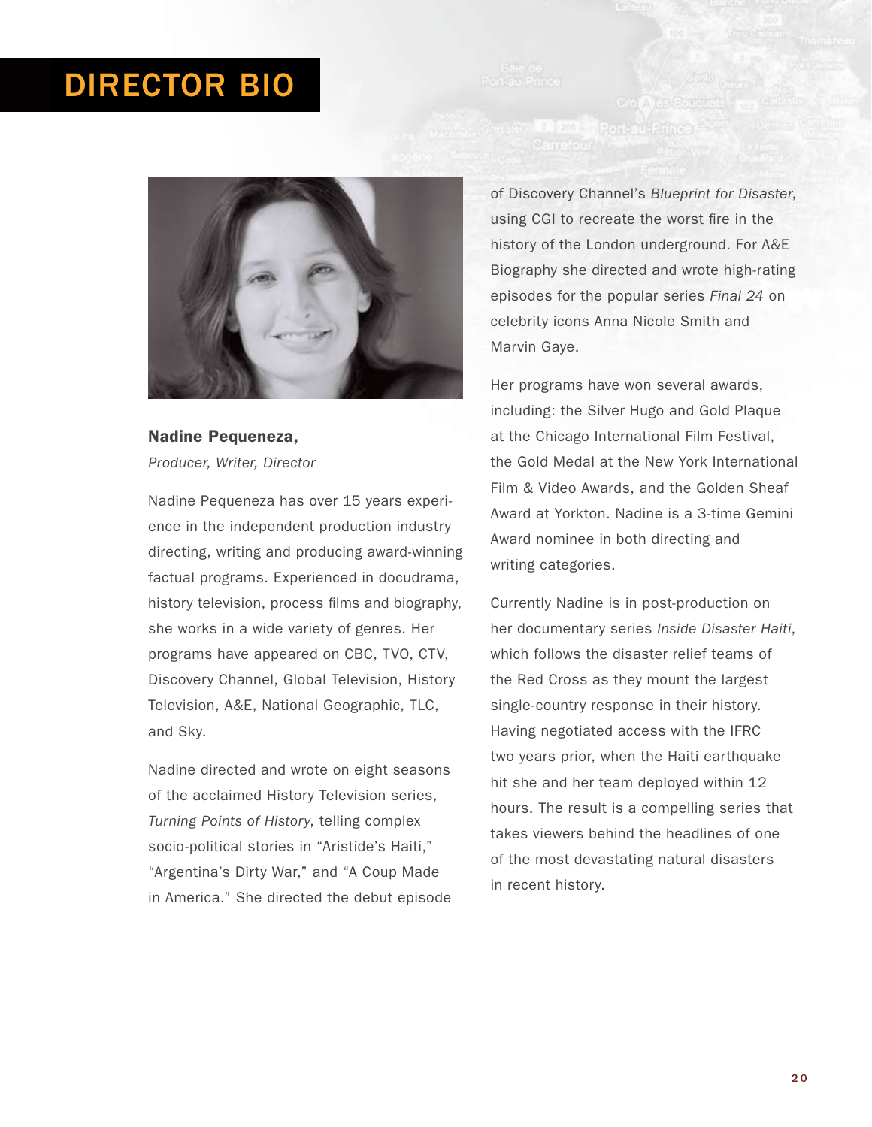# Director Bio



# Nadine Pequeneza, *Producer, Writer, Director*

Nadine Pequeneza has over 15 years experience in the independent production industry directing, writing and producing award-winning factual programs. Experienced in docudrama, history television, process films and biography, she works in a wide variety of genres. Her programs have appeared on CBC, TVO, CTV, Discovery Channel, Global Television, History Television, A&E, National Geographic, TLC, and Sky.

Nadine directed and wrote on eight seasons of the acclaimed History Television series, *Turning Points of History*, telling complex socio-political stories in "Aristide's Haiti," "Argentina's Dirty War," and "A Coup Made in America." She directed the debut episode of Discovery Channel's *Blueprint for Disaster*, using CGI to recreate the worst fire in the history of the London underground. For A&E Biography she directed and wrote high-rating episodes for the popular series *Final 24* on celebrity icons Anna Nicole Smith and Marvin Gaye.

Crob<sup>1</sup>us 200 Port-au-Prince

Her programs have won several awards, including: the Silver Hugo and Gold Plaque at the Chicago International Film Festival, the Gold Medal at the New York International Film & Video Awards, and the Golden Sheaf Award at Yorkton. Nadine is a 3-time Gemini Award nominee in both directing and writing categories.

Currently Nadine is in post-production on her documentary series *Inside Disaster Haiti*, which follows the disaster relief teams of the Red Cross as they mount the largest single-country response in their history. Having negotiated access with the IFRC two years prior, when the Haiti earthquake hit she and her team deployed within 12 hours. The result is a compelling series that takes viewers behind the headlines of one of the most devastating natural disasters in recent history.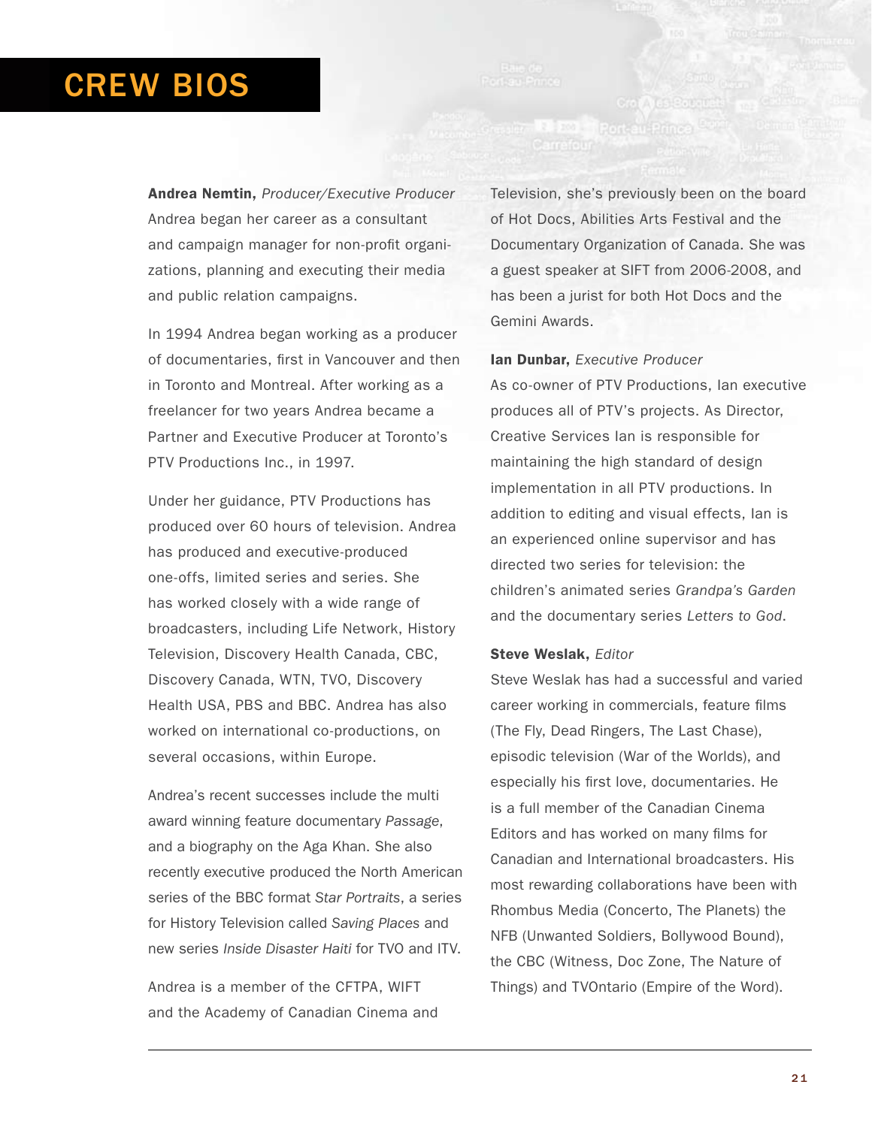# CREW BioS

Andrea Nemtin, *Producer/Executive Producer* Andrea began her career as a consultant and campaign manager for non-profit organizations, planning and executing their media and public relation campaigns.

In 1994 Andrea began working as a producer of documentaries, first in Vancouver and then in Toronto and Montreal. After working as a freelancer for two years Andrea became a Partner and Executive Producer at Toronto's PTV Productions Inc., in 1997.

Under her guidance, PTV Productions has produced over 60 hours of television. Andrea has produced and executive-produced one-offs, limited series and series. She has worked closely with a wide range of broadcasters, including Life Network, History Television, Discovery Health Canada, CBC, Discovery Canada, WTN, TVO, Discovery Health USA, PBS and BBC. Andrea has also worked on international co-productions, on several occasions, within Europe.

Andrea's recent successes include the multi award winning feature documentary *Passage*, and a biography on the Aga Khan. She also recently executive produced the North American series of the BBC format *Star Portraits*, a series for History Television called *Saving Places* and new series *Inside Disaster Haiti* for TVO and ITV.

Andrea is a member of the CFTPA, WIFT and the Academy of Canadian Cinema and Television, she's previously been on the board of Hot Docs, Abilities Arts Festival and the Documentary Organization of Canada. She was a guest speaker at SIFT from 2006-2008, and has been a jurist for both Hot Docs and the Gemini Awards.

#### Ian Dunbar, *Executive Producer*

As co-owner of PTV Productions, Ian executive produces all of PTV's projects. As Director, Creative Services Ian is responsible for maintaining the high standard of design implementation in all PTV productions. In addition to editing and visual effects, Ian is an experienced online supervisor and has directed two series for television: the children's animated series *Grandpa's Garden* and the documentary series *Letters to God*.

#### Steve Weslak, *Editor*

Steve Weslak has had a successful and varied career working in commercials, feature films (The Fly, Dead Ringers, The Last Chase), episodic television (War of the Worlds), and especially his first love, documentaries. He is a full member of the Canadian Cinema Editors and has worked on many films for Canadian and International broadcasters. His most rewarding collaborations have been with Rhombus Media (Concerto, The Planets) the NFB (Unwanted Soldiers, Bollywood Bound), the CBC (Witness, Doc Zone, The Nature of Things) and TVOntario (Empire of the Word).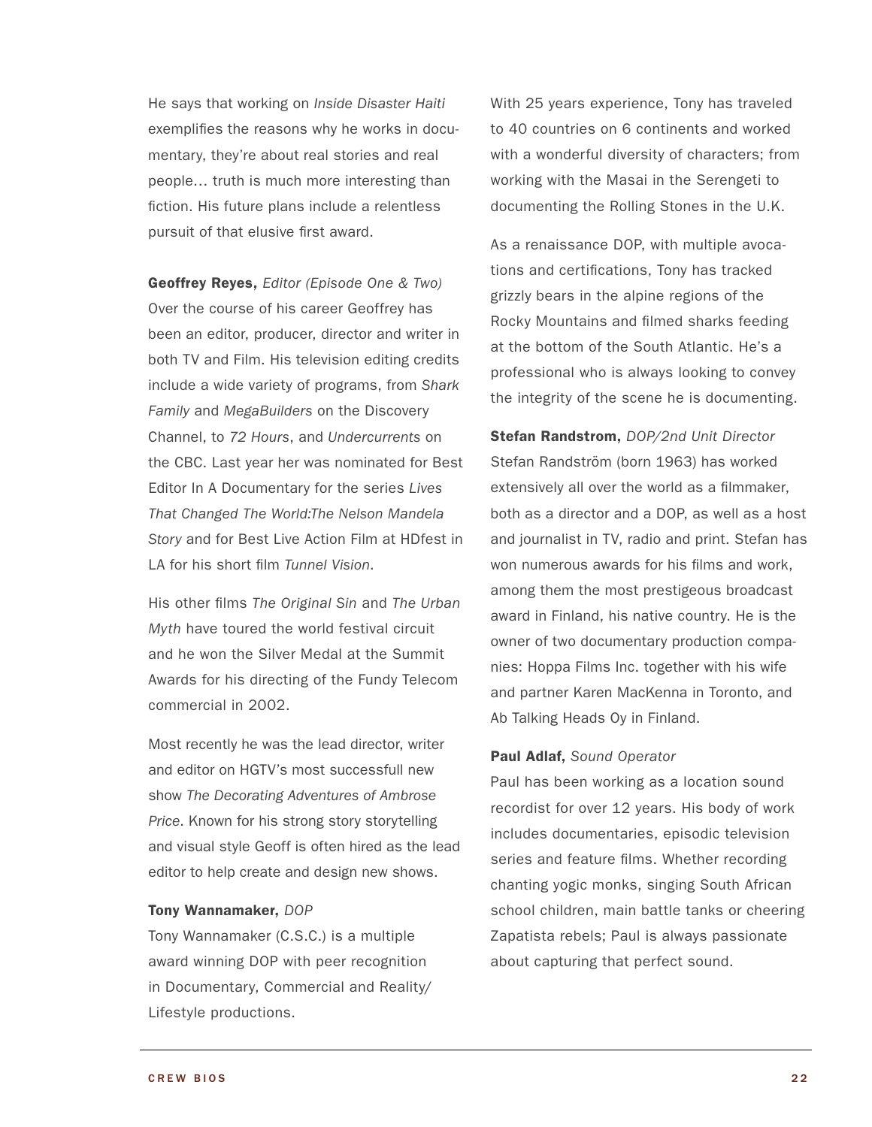He says that working on *Inside Disaster Haiti* exemplifies the reasons why he works in documentary, they're about real stories and real people… truth is much more interesting than fiction. His future plans include a relentless pursuit of that elusive first award.

Geoffrey Reyes, *Editor (Episode One & Two)* Over the course of his career Geoffrey has been an editor, producer, director and writer in both TV and Film. His television editing credits include a wide variety of programs, from *Shark Family* and *MegaBuilders* on the Discovery Channel, to *72 Hours*, and *Undercurrents* on the CBC. Last year her was nominated for Best Editor In A Documentary for the series *Lives That Changed The World:The Nelson Mandela Story* and for Best Live Action Film at HDfest in LA for his short film *Tunnel Vision*.

His other films *The Original Sin* and *The Urban Myth* have toured the world festival circuit and he won the Silver Medal at the Summit Awards for his directing of the Fundy Telecom commercial in 2002.

Most recently he was the lead director, writer and editor on HGTV's most successfull new show *The Decorating Adventures of Ambrose Price*. Known for his strong story storytelling and visual style Geoff is often hired as the lead editor to help create and design new shows.

#### Tony Wannamaker, *DOP*

Tony Wannamaker (C.S.C.) is a multiple award winning DOP with peer recognition in Documentary, Commercial and Reality/ Lifestyle productions.

With 25 years experience, Tony has traveled to 40 countries on 6 continents and worked with a wonderful diversity of characters; from working with the Masai in the Serengeti to documenting the Rolling Stones in the U.K.

As a renaissance DOP, with multiple avocations and certifications, Tony has tracked grizzly bears in the alpine regions of the Rocky Mountains and filmed sharks feeding at the bottom of the South Atlantic. He's a professional who is always looking to convey the integrity of the scene he is documenting.

Stefan Randstrom, *DOP/2nd Unit Director* Stefan Randström (born 1963) has worked extensively all over the world as a filmmaker, both as a director and a DOP, as well as a host and journalist in TV, radio and print. Stefan has won numerous awards for his films and work, among them the most prestigeous broadcast award in Finland, his native country. He is the owner of two documentary production companies: Hoppa Films Inc. together with his wife and partner Karen MacKenna in Toronto, and Ab Talking Heads Oy in Finland.

#### Paul Adlaf, *Sound Operator*

Paul has been working as a location sound recordist for over 12 years. His body of work includes documentaries, episodic television series and feature films. Whether recording chanting yogic monks, singing South African school children, main battle tanks or cheering Zapatista rebels; Paul is always passionate about capturing that perfect sound.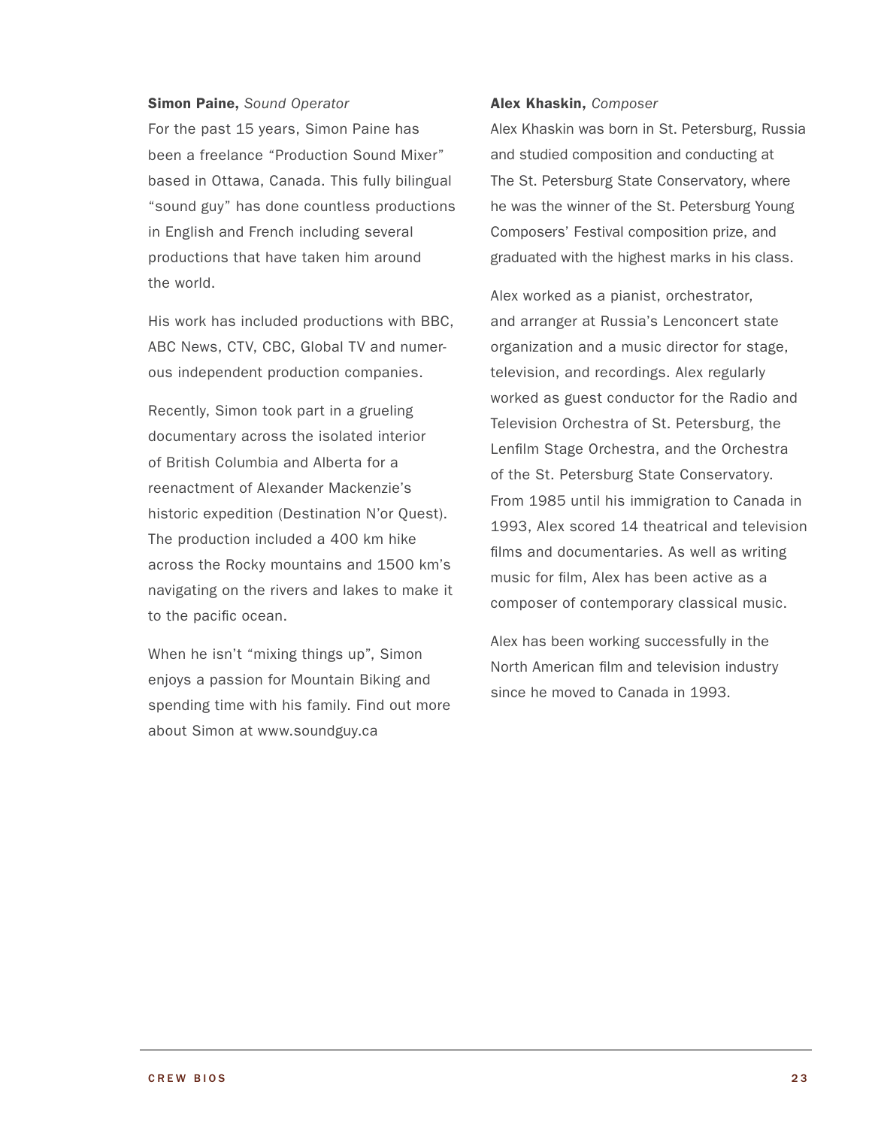#### Simon Paine, *Sound Operator*

For the past 15 years, Simon Paine has been a freelance "Production Sound Mixer" based in Ottawa, Canada. This fully bilingual "sound guy" has done countless productions in English and French including several productions that have taken him around the world.

His work has included productions with BBC, ABC News, CTV, CBC, Global TV and numerous independent production companies.

Recently, Simon took part in a grueling documentary across the isolated interior of British Columbia and Alberta for a reenactment of Alexander Mackenzie's historic expedition (Destination N'or Quest). The production included a 400 km hike across the Rocky mountains and 1500 km's navigating on the rivers and lakes to make it to the pacific ocean.

When he isn't "mixing things up", Simon enjoys a passion for Mountain Biking and spending time with his family. Find out more about Simon at www.soundguy.ca

#### Alex Khaskin, *Composer*

Alex Khaskin was born in St. Petersburg, Russia and studied composition and conducting at The St. Petersburg State Conservatory, where he was the winner of the St. Petersburg Young Composers' Festival composition prize, and graduated with the highest marks in his class.

Alex worked as a pianist, orchestrator, and arranger at Russia's Lenconcert state organization and a music director for stage, television, and recordings. Alex regularly worked as guest conductor for the Radio and Television Orchestra of St. Petersburg, the Lenfilm Stage Orchestra, and the Orchestra of the St. Petersburg State Conservatory. From 1985 until his immigration to Canada in 1993, Alex scored 14 theatrical and television films and documentaries. As well as writing music for film, Alex has been active as a composer of contemporary classical music.

Alex has been working successfully in the North American film and television industry since he moved to Canada in 1993.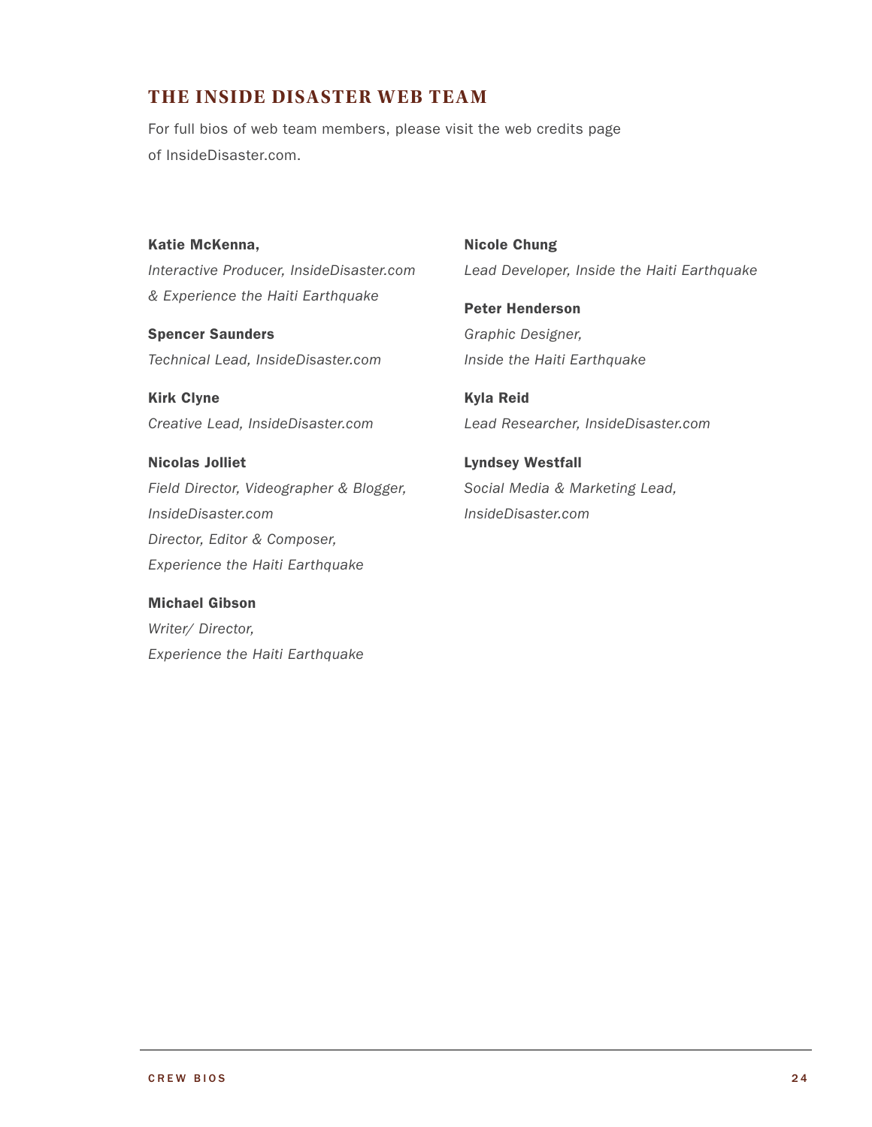### **The Inside Disaster Web Team**

For full bios of web team members, please visit the web credits page of [InsideDisaster.com](http://insidedisaster.com).

Katie McKenna, *Interactive Producer, InsideDisaster.com & Experience the Haiti Earthquake*

Spencer Saunders *Technical Lead, InsideDisaster.com*

Kirk Clyne *Creative Lead, InsideDisaster.com*

Nicolas Jolliet *Field Director, Videographer & Blogger, InsideDisaster.com Director, Editor & Composer, Experience the Haiti Earthquake*

Michael Gibson *Writer/ Director, Experience the Haiti Earthquake* Nicole Chung *Lead Developer, Inside the Haiti Earthquake*

Peter Henderson *Graphic Designer, Inside the Haiti Earthquake*

Kyla Reid *Lead Researcher, InsideDisaster.com*

Lyndsey Westfall *Social Media & Marketing Lead, InsideDisaster.com*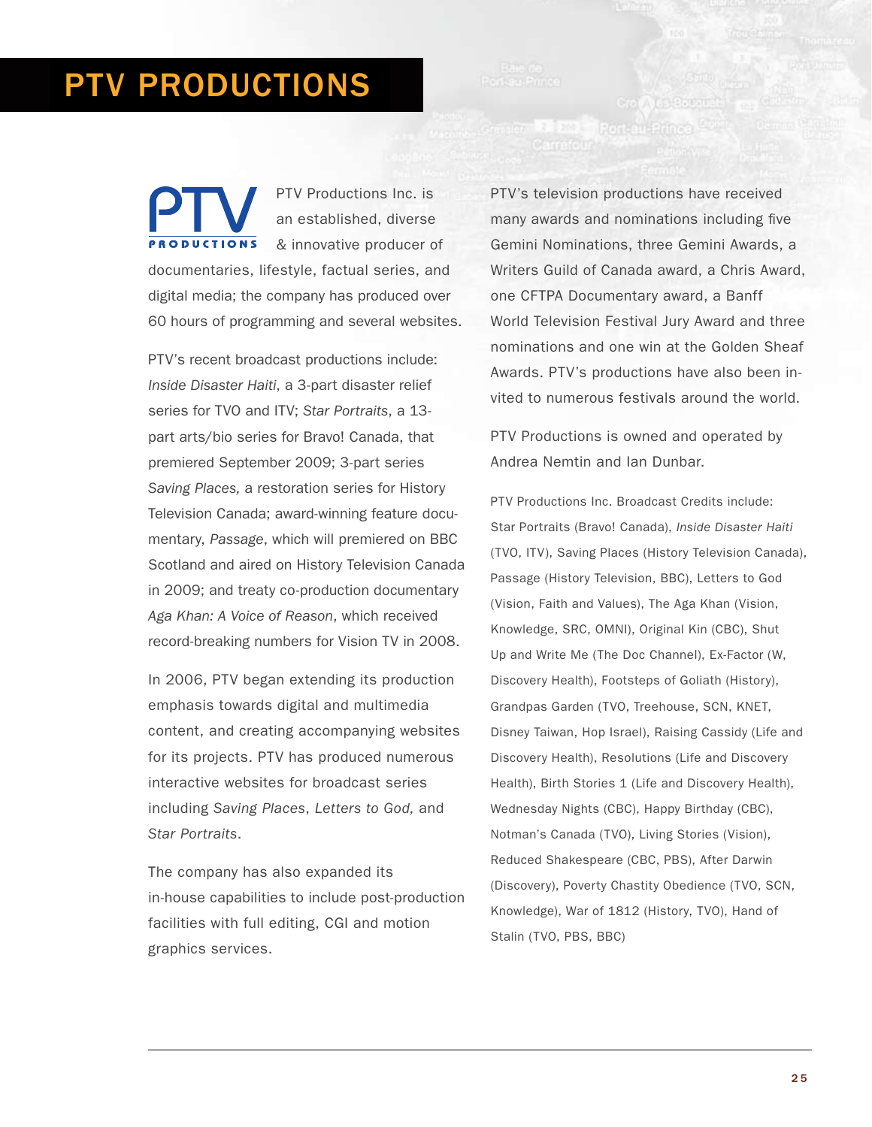# PTV Productions

PTV Productions Inc. is an established, diverse **PRODUCTIONS** & innovative producer of documentaries, lifestyle, factual series, and digital media; the company has produced over 60 hours of programming and several websites.

PTV's recent broadcast productions include: *Inside Disaster Haiti*, a 3-part disaster relief series for TVO and ITV; *Star Portraits*, a 13 part arts/bio series for Bravo! Canada, that premiered September 2009; 3-part series *Saving Places,* a restoration series for History Television Canada; award-winning feature documentary, *Passage*, which will premiered on BBC Scotland and aired on History Television Canada in 2009; and treaty co-production documentary *Aga Khan: A Voice of Reason*, which received record-breaking numbers for Vision TV in 2008.

In 2006, PTV began extending its production emphasis towards digital and multimedia content, and creating accompanying websites for its projects. PTV has produced numerous interactive websites for broadcast series including *Saving Places*, *Letters to God,* and *Star Portraits*.

The company has also expanded its in-house capabilities to include post-production facilities with full editing, CGI and motion graphics services.

PTV's television productions have received many awards and nominations including five Gemini Nominations, three Gemini Awards, a Writers Guild of Canada award, a Chris Award, one CFTPA Documentary award, a Banff World Television Festival Jury Award and three nominations and one win at the Golden Sheaf Awards. PTV's productions have also been invited to numerous festivals around the world.

Crob Nus Bouguar

Port-eu-Prince

PTV Productions is owned and operated by Andrea Nemtin and Ian Dunbar.

PTV Productions Inc. Broadcast Credits include: Star Portraits (Bravo! Canada), *Inside Disaster Haiti* (TVO, ITV), Saving Places (History Television Canada), Passage (History Television, BBC), Letters to God (Vision, Faith and Values), The Aga Khan (Vision, Knowledge, SRC, OMNI), Original Kin (CBC), Shut Up and Write Me (The Doc Channel), Ex-Factor (W, Discovery Health), Footsteps of Goliath (History), Grandpas Garden (TVO, Treehouse, SCN, KNET, Disney Taiwan, Hop Israel), Raising Cassidy (Life and Discovery Health), Resolutions (Life and Discovery Health), Birth Stories 1 (Life and Discovery Health), Wednesday Nights (CBC), Happy Birthday (CBC), Notman's Canada (TVO), Living Stories (Vision), Reduced Shakespeare (CBC, PBS), After Darwin (Discovery), Poverty Chastity Obedience (TVO, SCN, Knowledge), War of 1812 (History, TVO), Hand of Stalin (TVO, PBS, BBC)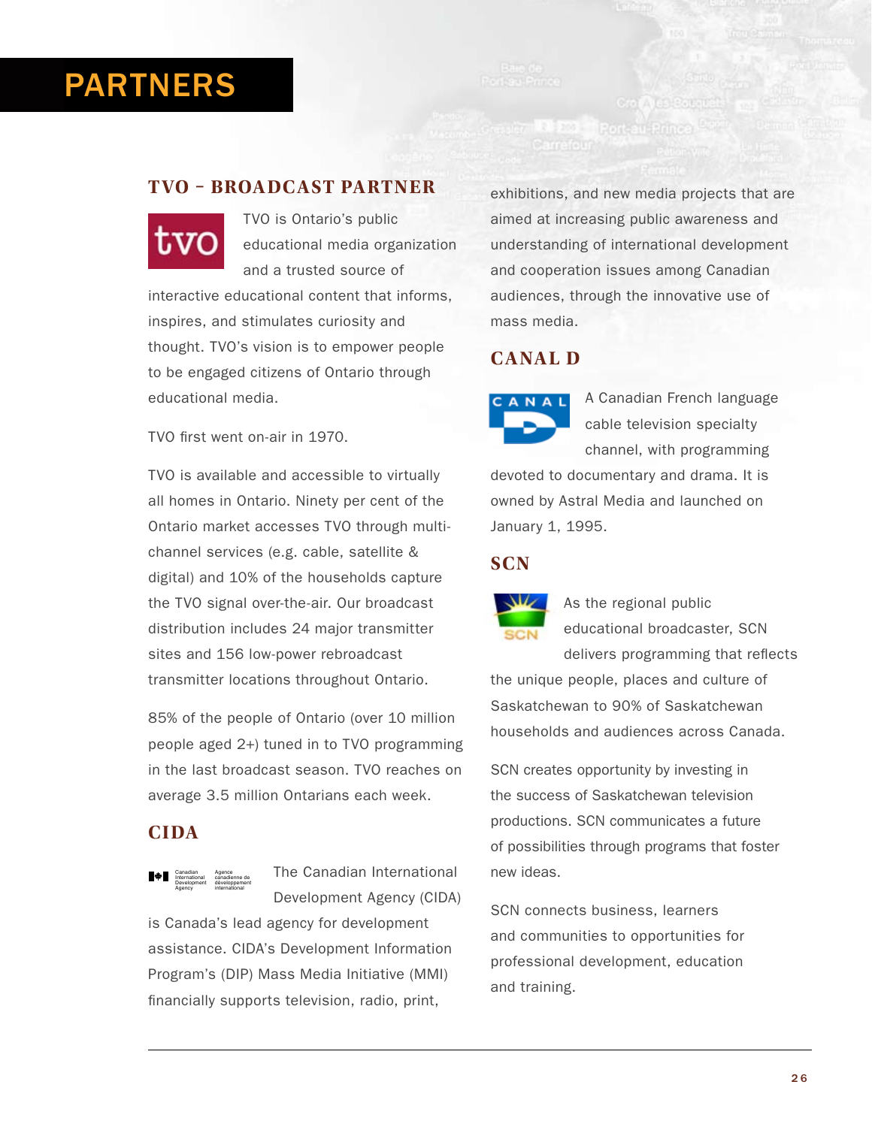# PARTNERS

### **TVO – Broadcast Partner**



TVO is Ontario's public educational media organization and a trusted source of interactive educational content that informs, inspires, and stimulates curiosity and thought. TVO's vision is to empower people to be engaged citizens of Ontario through educational media.

TVO first went on-air in 1970.

TVO is available and accessible to virtually all homes in Ontario. Ninety per cent of the Ontario market accesses TVO through multichannel services (e.g. cable, satellite & digital) and 10% of the households capture the TVO signal over-the-air. Our broadcast distribution includes 24 major transmitter sites and 156 low-power rebroadcast transmitter locations throughout Ontario.

85% of the people of Ontario (over 10 million people aged 2+) tuned in to TVO programming in the last broadcast season. TVO reaches on average 3.5 million Ontarians each week.

## **CIDA**



The Canadian International Development Agency (CIDA)

is Canada's lead agency for development assistance. CIDA's Development Information Program's (DIP) Mass Media Initiative (MMI) financially supports television, radio, print,

exhibitions, and new media projects that are aimed at increasing public awareness and understanding of international development and cooperation issues among Canadian audiences, through the innovative use of mass media.

Aus Bat

# **Canal D**

A Canadian French language cable television specialty channel, with programming

devoted to documentary and drama. It is owned by Astral Media and launched on January 1, 1995.

### **SCN**



As the regional public educational broadcaster, SCN

delivers programming that reflects the unique people, places and culture of Saskatchewan to 90% of Saskatchewan households and audiences across Canada.

SCN creates opportunity by investing in the success of Saskatchewan television productions. SCN communicates a future of possibilities through programs that foster new ideas.

SCN connects business, learners and communities to opportunities for professional development, education and training.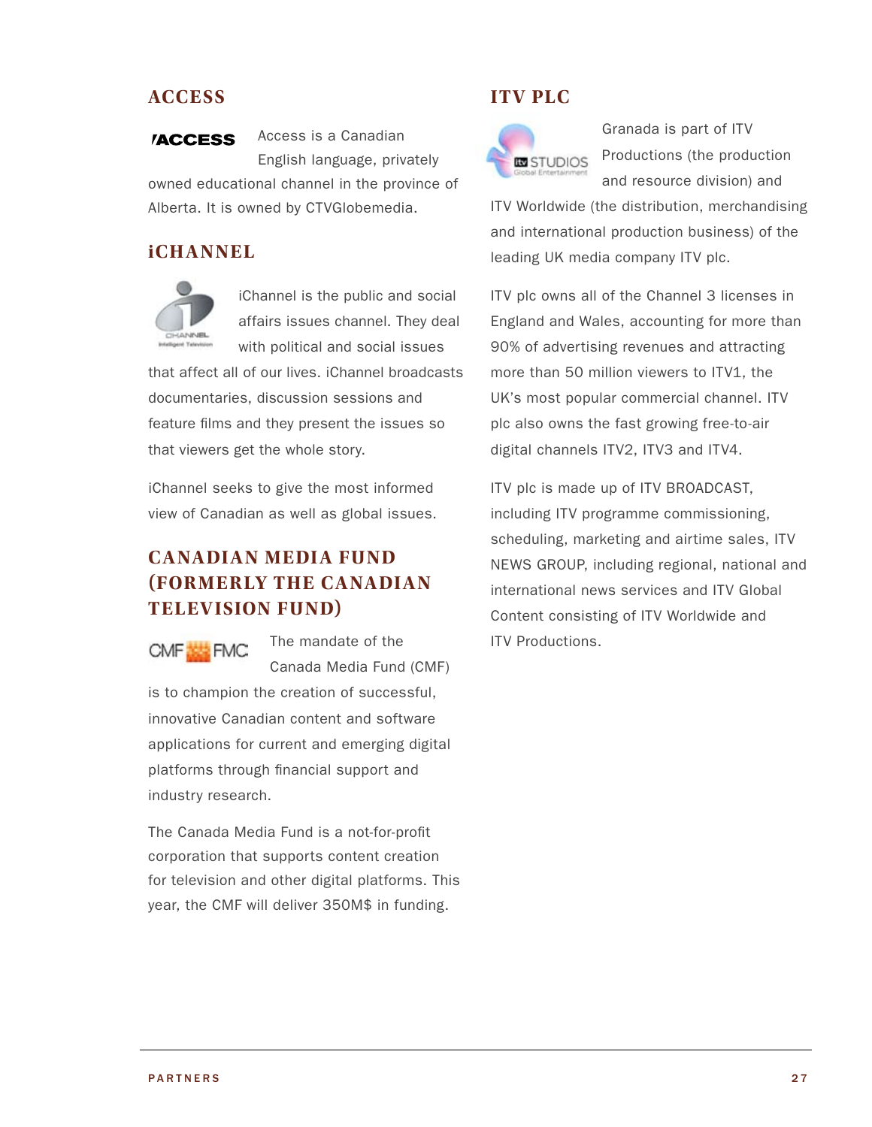### **Access**

Access is a Canadian **/ACCESS** English language, privately owned educational channel in the province of Alberta. It is owned by CTVGlobemedia.

#### *iCHANNEL*



iChannel is the public and social affairs issues channel. They deal with political and social issues

that affect all of our lives. iChannel broadcasts documentaries, discussion sessions and feature films and they present the issues so that viewers get the whole story.

iChannel seeks to give the most informed view of Canadian as well as global issues.

# **Canadian Media Fund (formerly the Canadian Television Fund)**

CMF**E** FMC

The mandate of the Canada Media Fund (CMF)

is to champion the creation of successful, innovative Canadian content and software applications for current and emerging digital platforms through financial support and industry research.

The Canada Media Fund is a not-for-profit corporation that supports content creation for television and other digital platforms. This year, the CMF will deliver 350M\$ in funding.

### **ITV Plc**



Granada is part of ITV Productions (the production and resource division) and

ITV Worldwide (the distribution, merchandising and international production business) of the leading UK media company ITV plc.

ITV plc owns all of the Channel 3 licenses in England and Wales, accounting for more than 90% of advertising revenues and attracting more than 50 million viewers to ITV1, the UK's most popular commercial channel. ITV plc also owns the fast growing free-to-air digital channels ITV2, ITV3 and ITV4.

ITV plc is made up of ITV BROADCAST, including ITV programme commissioning, scheduling, marketing and airtime sales, ITV NEWS GROUP, including regional, national and international news services and ITV Global Content consisting of ITV Worldwide and ITV Productions.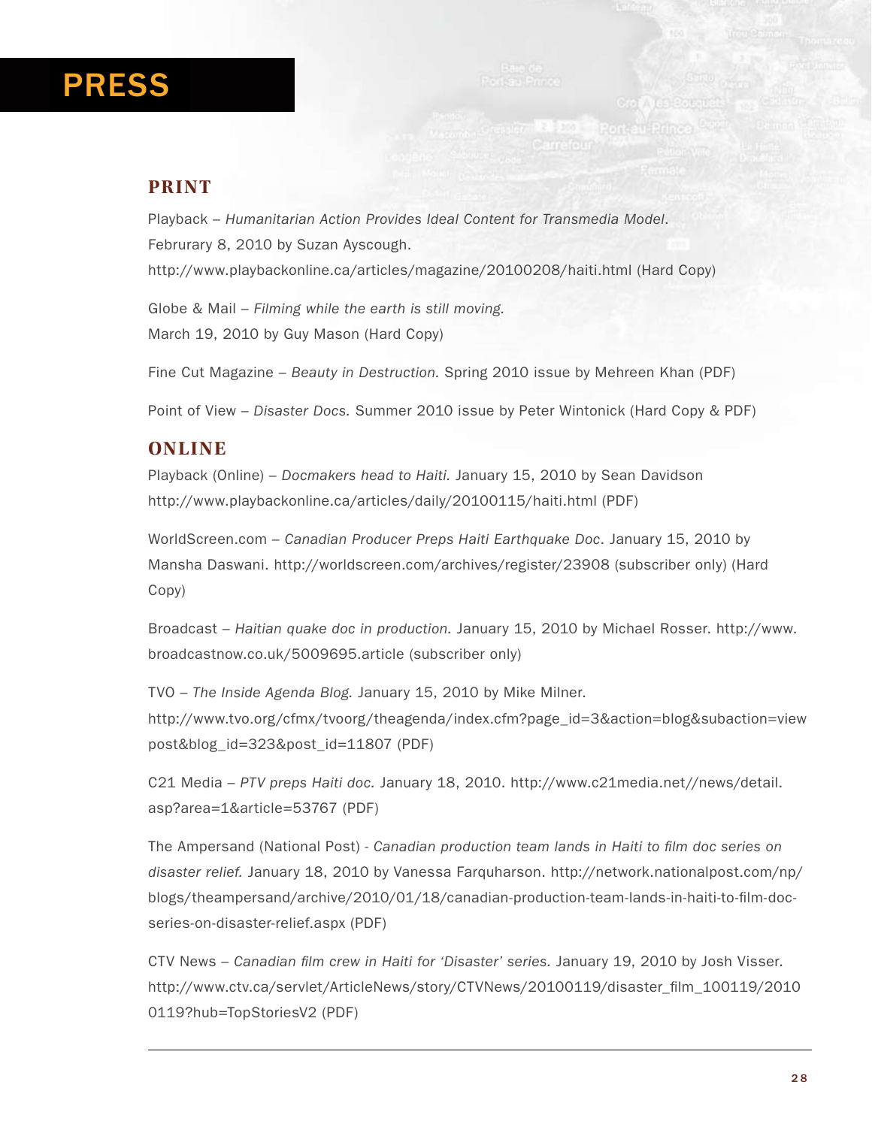# PRESS

### **Print**

Playback – *Humanitarian Action Provides Ideal Content for Transmedia Model*. Februrary 8, 2010 by Suzan Ayscough. http://www.playbackonline.ca/articles/magazine/20100208/haiti.html (Hard Copy)

Globe & Mail – *Filming while the earth is still moving.*  March 19, 2010 by Guy Mason (Hard Copy)

Fine Cut Magazine – *Beauty in Destruction.* Spring 2010 issue by Mehreen Khan (PDF)

Point of View – *Disaster Docs.* Summer 2010 issue by Peter Wintonick (Hard Copy & PDF)

### **Online**

Playback (Online) – *Docmakers head to Haiti.* January 15, 2010 by Sean Davidson http://www.playbackonline.ca/articles/daily/20100115/haiti.html (PDF)

WorldScreen.com – *Canadian Producer Preps Haiti Earthquake Doc*. January 15, 2010 by Mansha Daswani. http://worldscreen.com/archives/register/23908 (subscriber only) (Hard Copy)

Broadcast – *Haitian quake doc in production.* January 15, 2010 by Michael Rosser. http://www. broadcastnow.co.uk/5009695.article (subscriber only)

TVO – *The Inside Agenda Blog.* January 15, 2010 by Mike Milner. http://www.tvo.org/cfmx/tvoorg/theagenda/index.cfm?page\_id=3&action=blog&subaction=view post&blog\_id=323&post\_id=11807 (PDF)

C21 Media – *PTV preps Haiti doc.* January 18, 2010. http://www.c21media.net//news/detail. asp?area=1&article=53767 (PDF)

The Ampersand (National Post) - *Canadian production team lands in Haiti to film doc series on disaster relief.* January 18, 2010 by Vanessa Farquharson. http://network.nationalpost.com/np/ blogs/theampersand/archive/2010/01/18/canadian-production-team-lands-in-haiti-to-film-docseries-on-disaster-relief.aspx (PDF)

CTV News – *Canadian film crew in Haiti for 'Disaster' series.* January 19, 2010 by Josh Visser. http://www.ctv.ca/servlet/ArticleNews/story/CTVNews/20100119/disaster\_film\_100119/2010 0119?hub=TopStoriesV2 (PDF)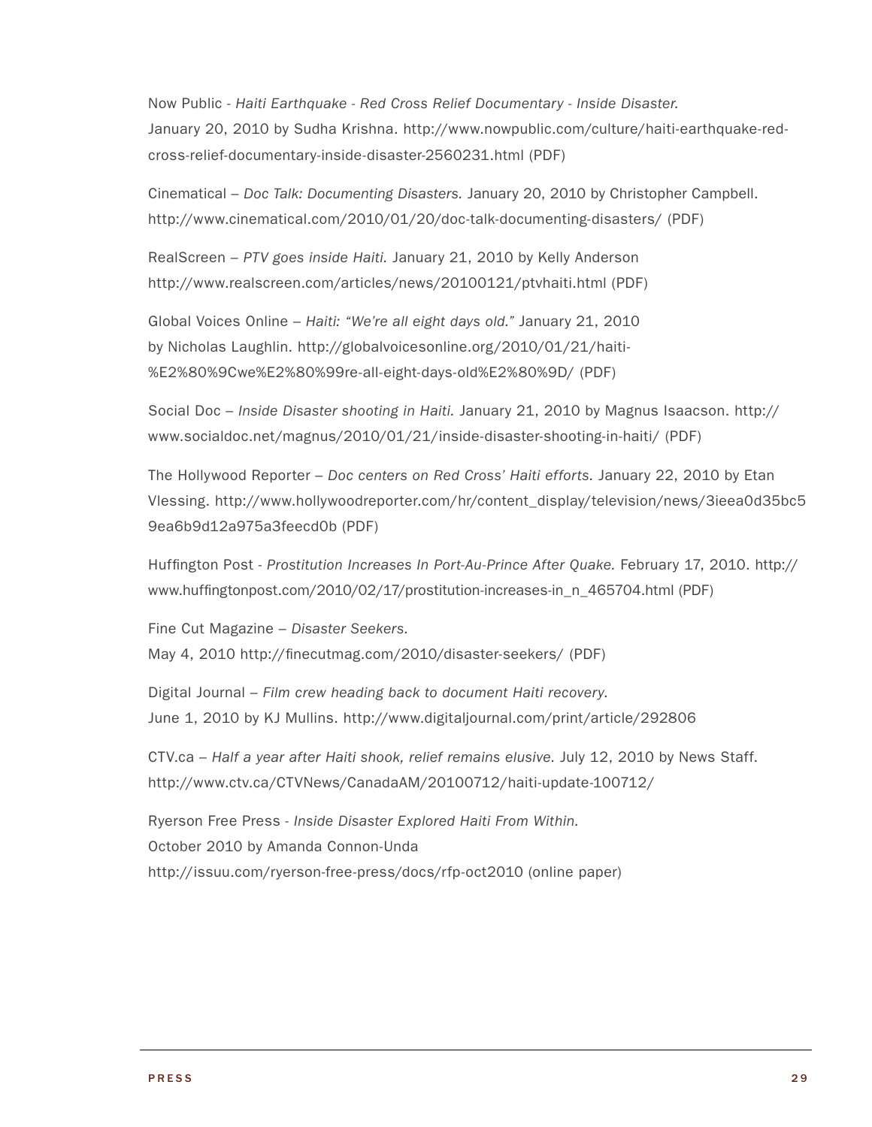Now Public - *Haiti Earthquake - Red Cross Relief Documentary - Inside Disaster.*  January 20, 2010 by Sudha Krishna. http://www.nowpublic.com/culture/haiti-earthquake-redcross-relief-documentary-inside-disaster-2560231.html (PDF)

Cinematical – *Doc Talk: Documenting Disasters.* January 20, 2010 by Christopher Campbell. http://www.cinematical.com/2010/01/20/doc-talk-documenting-disasters/ (PDF)

RealScreen – *PTV goes inside Haiti.* January 21, 2010 by Kelly Anderson http://www.realscreen.com/articles/news/20100121/ptvhaiti.html (PDF)

Global Voices Online – *Haiti: "We're all eight days old."* January 21, 2010 by Nicholas Laughlin. http://globalvoicesonline.org/2010/01/21/haiti- %E2%80%9Cwe%E2%80%99re-all-eight-days-old%E2%80%9D/ (PDF)

Social Doc – *Inside Disaster shooting in Haiti.* January 21, 2010 by Magnus Isaacson. http:// www.socialdoc.net/magnus/2010/01/21/inside-disaster-shooting-in-haiti/ (PDF)

The Hollywood Reporter – *Doc centers on Red Cross' Haiti efforts.* January 22, 2010 by Etan Vlessing. http://www.hollywoodreporter.com/hr/content\_display/television/news/3ieea0d35bc5 9ea6b9d12a975a3feecd0b (PDF)

Huffington Post - *Prostitution Increases In Port-Au-Prince After Quake.* February 17, 2010. http:// www.huffingtonpost.com/2010/02/17/prostitution-increases-in\_n\_465704.html (PDF)

Fine Cut Magazine – *Disaster Seekers.* May 4, 2010 http://finecutmag.com/2010/disaster-seekers/ (PDF)

Digital Journal – *Film crew heading back to document Haiti recovery*. June 1, 2010 by KJ Mullins. http://www.digitaljournal.com/print/article/292806

CTV.ca – *Half a year after Haiti shook, relief remains elusive.* July 12, 2010 by News Staff. http://www.ctv.ca/CTVNews/CanadaAM/20100712/haiti-update-100712/

Ryerson Free Press - *Inside Disaster Explored Haiti From Within.* October 2010 by Amanda Connon-Unda http://issuu.com/ryerson-free-press/docs/rfp-oct2010 (online paper)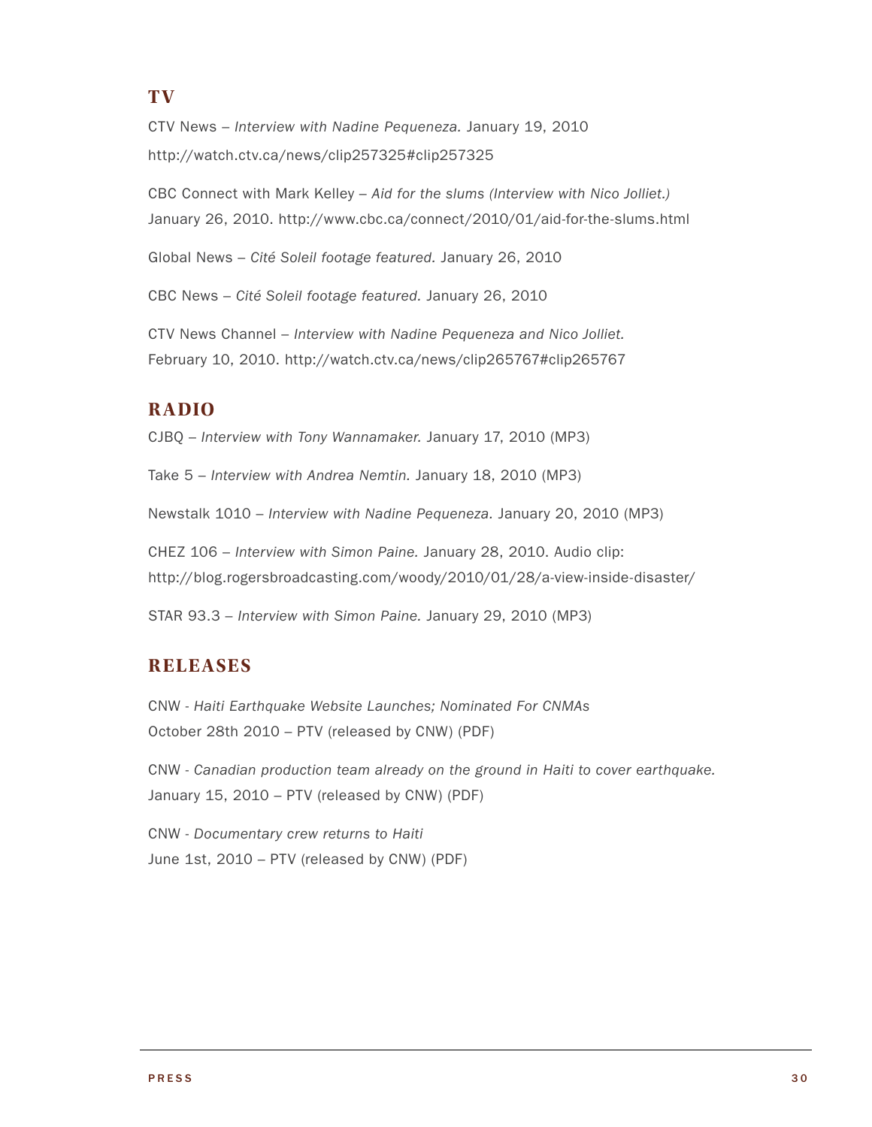### **T V**

CTV News – *Interview with Nadine Pequeneza.* January 19, 2010 http://watch.ctv.ca/news/clip257325#clip257325

CBC Connect with Mark Kelley – *Aid for the slums (Interview with Nico Jolliet.)* January 26, 2010. http://www.cbc.ca/connect/2010/01/aid-for-the-slums.html

Global News – *Cité Soleil footage featured.* January 26, 2010

CBC News – *Cité Soleil footage featured.* January 26, 2010

CTV News Channel – *Interview with Nadine Pequeneza and Nico Jolliet.* February 10, 2010. http://watch.ctv.ca/news/clip265767#clip265767

### **Radio**

CJBQ – *Interview with Tony Wannamaker.* January 17, 2010 (MP3)

Take 5 – *Interview with Andrea Nemtin.* January 18, 2010 (MP3)

Newstalk 1010 – *Interview with Nadine Pequeneza.* January 20, 2010 (MP3)

CHEZ 106 – *Interview with Simon Paine.* January 28, 2010. Audio clip: http://blog.rogersbroadcasting.com/woody/2010/01/28/a-view-inside-disaster/

STAR 93.3 – *Interview with Simon Paine.* January 29, 2010 (MP3)

### **Releases**

CNW - *Haiti Earthquake Website Launches; Nominated For CNMAs*  October 28th 2010 – PTV (released by CNW) (PDF)

CNW - *Canadian production team already on the ground in Haiti to cover earthquake.* January 15, 2010 – PTV (released by CNW) (PDF)

CNW - *Documentary crew returns to Haiti* June 1st, 2010 – PTV (released by CNW) (PDF)